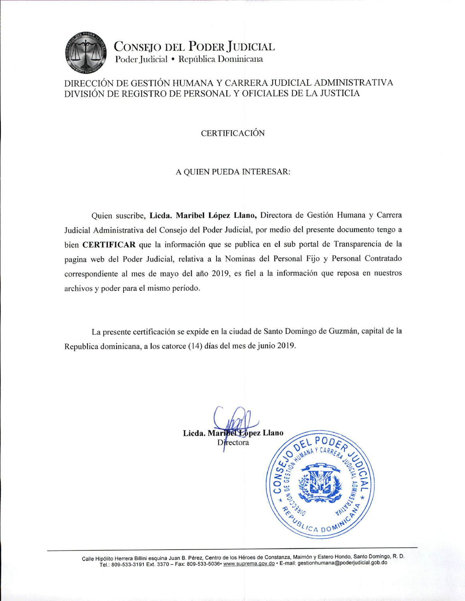

CONSEJO DEL PODER JUDICIAL Poder Judicial • República Dominicana

## DIRECCIÓN DE GESTIÓN HUMANA Y CARRERA JUDICIAL ADMINISTRATIVA DIVISIÓN DE REGISTRO DE PERSONAL Y OFICIALES DE LA JUSTICIA

## **CERTIFICACIÓN**

## A QUIEN PUEDA INTERESAR:

Quien suscribe, Licda. Maribel López Llano, Directora de Gestión Humana y Carrera Judicial Administrativa del Consejo del Poder Judicial, por medio del presente documento tengo a bien CERTIFICAR que la información que se publica en el sub portal de Transparencia de la pagina web del Poder Judicial, relativa a la Nominas del Personal Fijo y Personal Contratado correspondiente al mes de mayo del año 2019, es fiel a la información que reposa en nuestros archivos y poder para el mismo período.

La presente certificación se expide en la ciudad de Santo Domingo de Guzmán, capital de la Republica dominicana, a los catorce (14) días del mes de junio 2019.



Calle Hipólito Herrera Billini esquina Juan B. Pérez, Centro de los Héroes de Constanza, Maimón y Estero Hondo, Santo Domingo, R. D. Tel.: 809-533-3191 Ext. 3370 - Fax: 809-533-5036 · www.suprema.gov.do · E-mail: gestionhumana@poderjudicial.gob.do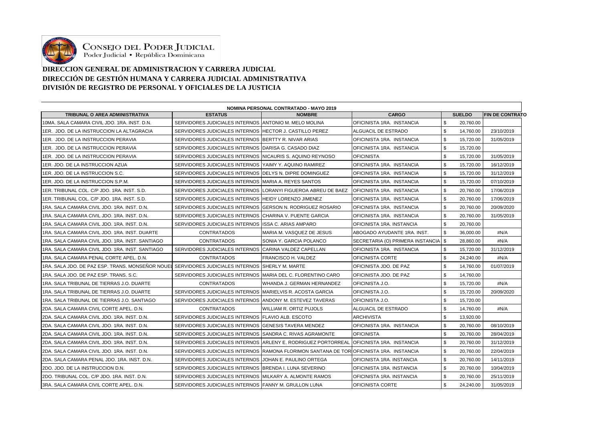

CONSEJO DEL PODER JUDICIAL<br>Poder Judicial • República Dominicana

## **DIRECCIÓN GENERAL DE ADMINISTRACIÓN Y CARRERA JUDICIAL DIRECCIÓN DE GESTIÓN HUMANA Y CARRERA JUDICIAL ADMINISTRATIVA DIVISIÓN DE REGISTRO DE PERSONAL Y OFICIALES DE LA JUSTICIA**

| TRIBUNAL O AREA ADMINISTRATIVA                                                                   | <b>ESTATUS</b>                                               | <b>NOMBRE</b>                                                                             | <b>CARGO</b>                     | <b>SUELDO</b>                          | <b>IFIN DE CONTRATO</b> |
|--------------------------------------------------------------------------------------------------|--------------------------------------------------------------|-------------------------------------------------------------------------------------------|----------------------------------|----------------------------------------|-------------------------|
| 10MA, SALA CAMARA CIVIL JDO, 1RA, INST, D.N.                                                     | SERVIDORES JUDICIALES INTERNOS ANTONIO M. MELO MOLINA        |                                                                                           | OFICINISTA 1RA. INSTANCIA        | $\boldsymbol{\mathsf{S}}$<br>20.760.00 |                         |
| 1ER. JDO. DE LA INSTRUCCION LA ALTAGRACIA                                                        | SERVIDORES JUDICIALES INTERNOS HECTOR J. CASTILLO PEREZ      |                                                                                           | ALGUACIL DE ESTRADO              | \$<br>14.760.00                        | 23/10/2019              |
| 1ER. JDO. DE LA INSTRUCCION PERAVIA                                                              | SERVIDORES JUDICIALES INTERNOS BERTTY R. NIVAR ARIAS         |                                                                                           | OFICINISTA 1RA. INSTANCIA        | \$<br>15,720.00                        | 31/05/2019              |
| 1ER. JDO. DE LA INSTRUCCION PERAVIA                                                              | SERVIDORES JUDICIALES INTERNOS IDARISA G. CASADO DIAZ        |                                                                                           | OFICINISTA 1RA. INSTANCIA        | \$<br>15,720.00                        |                         |
| 1ER. JDO. DE LA INSTRUCCION PERAVIA                                                              | SERVIDORES JUDICIALES INTERNOS INICAURIS S. AQUINO REYNOSO   |                                                                                           | <b>OFICINISTA</b>                | \$<br>15,720.00                        | 31/05/2019              |
| 1ER. JDO. DE LA INSTRUCCION AZUA                                                                 | SERVIDORES JUDICIALES INTERNOS YAIMY Y. AQUINO RAMIREZ       |                                                                                           | OFICINISTA 1RA. INSTANCIA        | \$<br>15,720.00                        | 16/12/2019              |
| 1ER. JDO. DE LA INSTRUCCION S.C.                                                                 | SERVIDORES JUDICIALES INTERNOS DELYS N. DIPRE DOMINGUEZ      |                                                                                           | OFICINISTA 1RA. INSTANCIA        | \$<br>15,720.00                        | 31/12/2019              |
| 1ER. JDO. DE LA INSTRUCCION S.P.M.                                                               | SERVIDORES JUDICIALES INTERNOS MARIA A. REYES SANTOS         |                                                                                           | OFICINISTA 1RA. INSTANCIA        | $\boldsymbol{\mathsf{S}}$<br>15,720.00 | 07/10/2019              |
| 1ER. TRIBUNAL COL. C/P JDO. 1RA. INST. S.D.                                                      |                                                              | SERVIDORES JUDICIALES INTERNOS LORANYI FIGUEROA ABREU DE BAEZ                             | <b>OFICINISTA 1RA. INSTANCIA</b> | \$<br>20,760.00                        | 17/06/2019              |
| 1ER. TRIBUNAL COL. C/P JDO. 1RA. INST. S.D.                                                      | SERVIDORES JUDICIALES INTERNOS HEIDY LORENZO JIMENEZ         |                                                                                           | OFICINISTA 1RA. INSTANCIA        | \$<br>20,760.00                        | 17/06/2019              |
| 1RA. SALA CAMARA CIVIL JDO. 1RA. INST. D.N.                                                      | SERVIDORES JUDICIALES INTERNOS IGERSON N. RODRIGUEZ ROSARIO  |                                                                                           | OFICINISTA 1RA. INSTANCIA        | \$<br>20,760.00                        | 20/09/2020              |
| 1RA, SALA CAMARA CIVIL JDO, 1RA, INST, D.N.                                                      | SERVIDORES JUDICIALES INTERNOS ICHARINA V. PUENTE GARCIA     |                                                                                           | OFICINISTA 1RA. INSTANCIA        | \$<br>20,760.00                        | 31/05/2019              |
| 1RA, SALA CAMARA CIVIL JDO, 1RA, INST, D.N.                                                      | SERVIDORES JUDICIALES INTERNOS IISSA C. ARIAS AMPARO         |                                                                                           | OFICINISTA 1RA. INSTANCIA        | \$<br>20,760.00                        |                         |
| 1RA. SALA CAMARA CIVIL JDO. 1RA. INST. DUARTE                                                    | <b>CONTRATADOS</b>                                           | MARIA M. VASQUEZ DE JESUS                                                                 | ABOGADO AYUDANTE 1RA. INST.      | \$<br>36,000.00                        | #N/A                    |
| 1RA. SALA CAMARA CIVIL JDO. 1RA. INST. SANTIAGO                                                  | <b>CONTRATADOS</b>                                           | SONIA Y. GARCIA POLANCO                                                                   | SECRETARIA (O) PRIMERA INSTANCIA | l \$<br>28,860.00                      | #N/A                    |
| 1RA. SALA CAMARA CIVIL JDO. 1RA. INST. SANTIAGO                                                  | SERVIDORES JUDICIALES INTERNOS ICARINA VALDEZ CAPELLAN       |                                                                                           | OFICINISTA 1RA. INSTANCIA        | \$<br>15,720.00                        | 31/12/2019              |
| 1RA, SALA CAMARA PENAL CORTE APEL, D.N.                                                          | <b>CONTRATADOS</b>                                           | FRANCISCO H. VALDEZ                                                                       | OFICINISTA CORTE                 | \$<br>24,240.00                        | #N/A                    |
| 1RA. SALA JDO. DE PAZ ESP. TRANS. MONSEÑOR NOUEL SERVIDORES JUDICIALES INTERNOS (SHERLY M. MARTE |                                                              |                                                                                           | OFICINISTA JDO. DE PAZ           | \$<br>14,760.00                        | 01/07/2019              |
| 1RA, SALA JDO, DE PAZ ESP, TRANS, S.C.                                                           | SERVIDORES JUDICIALES INTERNOS IMARIA DEL C. FLORENTINO CARO |                                                                                           | OFICINISTA JDO. DE PAZ           | \$<br>14,760.00                        |                         |
| 1RA. SALA TRIBUNAL DE TIERRAS J.O. DUARTE                                                        | <b>CONTRATADOS</b>                                           | WHANDA J. GERMAN HERNANDEZ                                                                | OFICINISTA J.O.                  | \$<br>15,720.00                        | #N/A                    |
| 1RA, SALA TRIBUNAL DE TIERRAS J.O. DUARTE                                                        | SERVIDORES JUDICIALES INTERNOS MARIELVIS R. ACOSTA GARCIA    |                                                                                           | OFICINISTA J.O.                  | \$<br>15,720.00                        | 20/09/2020              |
| 1RA. SALA TRIBUNAL DE TIERRAS J.O. SANTIAGO                                                      | SERVIDORES JUDICIALES INTERNOS (ANDONY M. ESTEVEZ TAVERAS    |                                                                                           | OFICINISTA J.O.                  | \$<br>15,720.00                        |                         |
| 2DA. SALA CAMARA CIVIL CORTE APEL. D.N.                                                          | <b>CONTRATADOS</b>                                           | WILLIAM R. ORTIZ PUJOLS                                                                   | ALGUACIL DE ESTRADO              | \$<br>14,760.00                        | #N/A                    |
| 2DA. SALA CAMARA CIVIL JDO. 1RA. INST. D.N.                                                      | SERVIDORES JUDICIALES INTERNOS FLAVIO ALB. ESCOTO            |                                                                                           | <b>ARCHIVISTA</b>                | \$<br>13,920.00                        |                         |
| 2DA. SALA CAMARA CIVIL JDO. 1RA. INST. D.N.                                                      | SERVIDORES JUDICIALES INTERNOS GENESIS TAVERA MENDEZ         |                                                                                           | OFICINISTA 1RA. INSTANCIA        | \$<br>20,760.00                        | 08/10/2019              |
| 2DA. SALA CAMARA CIVIL JDO. 1RA. INST. D.N.                                                      | SERVIDORES JUDICIALES INTERNOS SANDRA C. RIVAS AGRAMONTE     |                                                                                           | <b>OFICINISTA</b>                | \$<br>20,760.00                        | 28/04/2019              |
| 2DA. SALA CAMARA CIVIL JDO. 1RA. INST. D.N.                                                      |                                                              | SERVIDORES JUDICIALES INTERNOS (ARLENY E. RODRIGUEZ PORTORREAL (OFICINISTA 1RA. INSTANCIA |                                  | \$<br>20,760.00                        | 31/12/2019              |
| 2DA. SALA CAMARA CIVIL JDO. 1RA. INST. D.N.                                                      |                                                              | SERVIDORES JUDICIALES INTERNOS (RAMONA FLORIMON SANTANA DE TORIOFICINISTA 1RA. INSTANCIA  |                                  | \$<br>20,760.00                        | 22/04/2019              |
| 2DA. SALA CAMARA PENAL JDO. 1RA. INST. D.N.                                                      | SERVIDORES JUDICIALES INTERNOS JJOHAN E. PAULINO ORTEGA      |                                                                                           | OFICINISTA 1RA. INSTANCIA        | \$<br>20,760.00                        | 14/11/2019              |
| 2DO. JDO. DE LA INSTRUCCION D.N.                                                                 | SERVIDORES JUDICIALES INTERNOS BRENDA I. LUNA SEVERINO       |                                                                                           | OFICINISTA 1RA. INSTANCIA        | \$<br>20,760.00                        | 10/04/2019              |
| 2DO. TRIBUNAL COL. C/P JDO. 1RA. INST. D.N.                                                      | SERVIDORES JUDICIALES INTERNOS MILKARY A. ALMONTE RAMOS      |                                                                                           | OFICINISTA 1RA. INSTANCIA        | \$<br>20,760.00                        | 25/11/2019              |
| 3RA. SALA CAMARA CIVIL CORTE APEL. D.N.                                                          | SERVIDORES JUDICIALES INTERNOS FANNY M. GRULLON LUNA         |                                                                                           | <b>OFICINISTA CORTE</b>          | $\boldsymbol{\mathsf{S}}$<br>24.240.00 | 31/05/2019              |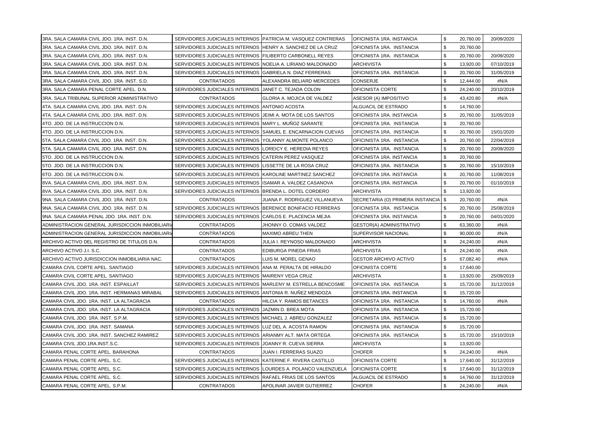| 3RA. SALA CAMARA CIVIL JDO. 1RA. INST. D.N.      | SERVIDORES JUDICIALES INTERNOS PATRICIA M. VASQUEZ CONTRERAS |                                   | OFICINISTA 1RA. INSTANCIA           | \$<br>20,760.00 | 20/09/2020 |
|--------------------------------------------------|--------------------------------------------------------------|-----------------------------------|-------------------------------------|-----------------|------------|
| 3RA. SALA CAMARA CIVIL JDO. 1RA. INST. D.N.      | SERVIDORES JUDICIALES INTERNOS HENRY A. SANCHEZ DE LA CRUZ   |                                   | OFICINISTA 1RA. INSTANCIA           | \$<br>20,760.00 |            |
| 3RA. SALA CAMARA CIVIL JDO. 1RA. INST. D.N.      | SERVIDORES JUDICIALES INTERNOS FILIBERTO CARBONELL REYES     |                                   | OFICINISTA 1RA. INSTANCIA           | \$<br>20,760.00 | 20/09/2020 |
| 3RA. SALA CAMARA CIVIL JDO. 1RA. INST. D.N.      | SERVIDORES JUDICIALES INTERNOS NOELIA A. LIRIANO MALDONADO   |                                   | <b>ARCHIVISTA</b>                   | \$<br>13,920.00 | 07/10/2019 |
| 3RA. SALA CAMARA CIVIL JDO. 1RA. INST. D.N.      | SERVIDORES JUDICIALES INTERNOS GABRIELA N. DIAZ FERRERAS     |                                   | OFICINISTA 1RA. INSTANCIA           | \$<br>20,760.00 | 31/05/2019 |
| 3RA. SALA CAMARA CIVIL JDO. 1RA. INST. S.D.      | <b>CONTRATADOS</b>                                           | ALEXANDRA BELIARD MERCEDES        | CONSERJE                            | \$<br>12,444.00 | #N/A       |
| 3RA. SALA CAMARA PENAL CORTE APEL. D.N.          | SERVIDORES JUDICIALES INTERNOS JJANET C. TEJADA COLON        |                                   | OFICINISTA CORTE                    | \$<br>24,240.00 | 20/10/2019 |
| 3RA. SALA TRIBUNAL SUPERIOR ADMINISTRATIVO       | <b>CONTRATADOS</b>                                           | <b>GLORIA A. MOJICA DE VALDEZ</b> | ASESOR (A) IMPOSITIVO               | \$<br>43,420.80 | #N/A       |
| 4TA. SALA CAMARA CIVIL JDO. 1RA. INST. D.N.      | SERVIDORES JUDICIALES INTERNOS ANTONIO ACOSTA                |                                   | ALGUACIL DE ESTRADO                 | \$<br>14,760.00 |            |
| 4TA. SALA CAMARA CIVIL JDO. 1RA. INST. D.N.      | SERVIDORES JUDICIALES INTERNOS JJEIMI A. MOTA DE LOS SANTOS  |                                   | OFICINISTA 1RA. INSTANCIA           | \$<br>20,760.00 | 31/05/2019 |
| 4TO. JDO. DE LA INSTRUCCION D.N.                 | SERVIDORES JUDICIALES INTERNOS MARY L. MUÑOZ SARANTE         |                                   | OFICINISTA 1RA. INSTANCIA           | \$<br>20,760.00 |            |
| 4TO. JDO. DE LA INSTRUCCION D.N.                 | SERVIDORES JUDICIALES INTERNOS SAMUEL E. ENCARNACION CUEVAS  |                                   | OFICINISTA 1RA. INSTANCIA           | \$<br>20,760.00 | 15/01/2020 |
| 5TA. SALA CAMARA CIVIL JDO. 1RA. INST. D.N.      | SERVIDORES JUDICIALES INTERNOS YOLANNY ALMONTE POLANCO       |                                   | OFICINISTA 1RA. INSTANCIA           | \$<br>20,760.00 | 22/04/2019 |
| 5TA. SALA CAMARA CIVIL JDO. 1RA. INST. D.N.      | SERVIDORES JUDICIALES INTERNOS LOREICY E. HEREDIA REYES      |                                   | OFICINISTA 1RA. INSTANCIA           | \$<br>20,760.00 | 20/09/2020 |
| 5TO. JDO. DE LA INSTRUCCION D.N.                 | SERVIDORES JUDICIALES INTERNOS CATERIN PEREZ VASQUEZ         |                                   | OFICINISTA 1RA. INSTANCIA           | \$<br>20,760.00 |            |
| 5TO. JDO. DE LA INSTRUCCION D.N.                 | SERVIDORES JUDICIALES INTERNOS LISSETTE DE LA ROSA CRUZ      |                                   | OFICINISTA 1RA. INSTANCIA           | \$<br>20,760.00 | 15/10/2019 |
| 6TO. JDO. DE LA INSTRUCCION D.N.                 | SERVIDORES JUDICIALES INTERNOS KAROLINE MARTINEZ SANCHEZ     |                                   | OFICINISTA 1RA. INSTANCIA           | \$<br>20,760.00 | 11/08/2019 |
| 8VA. SALA CAMARA CIVIL JDO. 1RA. INST. D.N.      | SERVIDORES JUDICIALES INTERNOS ISAMAR A. VALDEZ CASANOVA     |                                   | OFICINISTA 1RA. INSTANCIA           | \$<br>20,760.00 | 01/10/2019 |
| 8VA. SALA CAMARA CIVIL JDO. 1RA. INST. D.N.      | SERVIDORES JUDICIALES INTERNOS BRENDA L. DOTEL CORDERO       |                                   | <b>ARCHIVISTA</b>                   | \$<br>13,920.00 |            |
| 9NA. SALA CAMARA CIVIL JDO. 1RA. INST. D.N.      | <b>CONTRATADOS</b>                                           | JUANA F. RODRIGUEZ VILLANUEVA     | SECRETARIA (O) PRIMERA INSTANCIA \$ | 20,760.00       | #N/A       |
| 9NA. SALA CAMARA CIVIL JDO. 1RA. INST. D.N.      | SERVIDORES JUDICIALES INTERNOS BERENICE BONIFACIO FERRERAS   |                                   | OFICINISTA 1RA. INSTANCIA           | \$<br>20,760.00 | 25/08/2019 |
| 9NA. SALA CAMARA PENAL JDO. 1RA. INST. D.N.      | SERVIDORES JUDICIALES INTERNOS CARLOS E. PLACENCIA MEJIA     |                                   | OFICINISTA 1RA. INSTANCIA           | \$<br>20,760.00 | 04/01/2020 |
| ADMINISTRACION GENERAL JURISDICCION INMOBILIARIA | <b>CONTRATADOS</b>                                           | JHONNY O. COMAS VALDEZ            | GESTOR(A) ADMINISTRATIVO            | \$<br>63,360.00 | #N/A       |
| ADMINISTRACION GENERAL JURISDICCION INMOBILIARIA | <b>CONTRATADOS</b>                                           | <b>MAXIMO ABREU THEN</b>          | SUPERVISOR NACIONAL                 | \$<br>90,000.00 | #N/A       |
| ARCHIVO ACTIVO DEL REGISTRO DE TITULOS D.N.      | <b>CONTRATADOS</b>                                           | JULIA I. REYNOSO MALDONADO        | <b>ARCHIVISTA</b>                   | \$<br>24,240.00 | #N/A       |
| ARCHIVO ACTIVO J.I. S.C.                         | <b>CONTRATADOS</b>                                           | EDIBURGA PINEDA FRIAS             | <b>ARCHIVISTA</b>                   | \$<br>24,240.00 | #N/A       |
| ARCHIVO ACTIVO JURISDICCION INMOBILIARIA NAC.    | <b>CONTRATADOS</b>                                           | LUIS M. MOREL GENAO               | <b>GESTOR ARCHIVO ACTIVO</b>        | \$<br>67,082.40 | #N/A       |
| CAMARA CIVIL CORTE APEL. SANTIAGO                | SERVIDORES JUDICIALES INTERNOS (ANA M. PERALTA DE HIRALDO    |                                   | <b>OFICINISTA CORTE</b>             | \$<br>17,640.00 |            |
| CAMARA CIVIL CORTE APEL, SANTIAGO                | SERVIDORES JUDICIALES INTERNOS MAIRENY VEGA CRUZ             |                                   | <b>ARCHIVISTA</b>                   | \$<br>13,920.00 | 25/09/2019 |
| CAMARA CIVIL JDO. 1RA. INST. ESPAILLAT           | SERVIDORES JUDICIALES INTERNOS MARLENY M. ESTRELLA BENCOSME  |                                   | OFICINISTA 1RA. INSTANCIA           | \$<br>15,720.00 | 31/12/2019 |
| ICAMARA CIVIL JDO. 1RA. INST. HERMANAS MIRABAL   | SERVIDORES JUDICIALES INTERNOS ANTONIA R. NUÑEZ MENDOZA      |                                   | OFICINISTA 1RA. INSTANCIA           | \$<br>15,720.00 |            |
| CAMARA CIVIL JDO. 1RA. INST. LA ALTAGRACIA       | <b>CONTRATADOS</b>                                           | HILCIA Y. RAMOS BETANCES          | OFICINISTA 1RA. INSTANCIA           | \$<br>14,760.00 | #N/A       |
| CAMARA CIVIL JDO. 1RA. INST. LA ALTAGRACIA       | SERVIDORES JUDICIALES INTERNOS JAZMIN D. BREA MOTA           |                                   | OFICINISTA 1RA. INSTANCIA           | \$<br>15,720.00 |            |
| CAMARA CIVIL JDO. 1RA. INST. S.P.M.              | SERVIDORES JUDICIALES INTERNOS MICHAEL J. ABREU GONZALEZ     |                                   | OFICINISTA 1RA. INSTANCIA           | \$<br>15,720.00 |            |
| CAMARA CIVIL JDO. 1RA. INST. SAMANA              | SERVIDORES JUDICIALES INTERNOS LUZ DEL A. ACOSTA RAMON       |                                   | OFICINISTA 1RA. INSTANCIA           | \$<br>15,720.00 |            |
| CAMARA CIVIL JDO. 1RA. INST. SANCHEZ RAMIREZ     | SERVIDORES JUDICIALES INTERNOS ARIANMY ALT. MATA ORTEGA      |                                   | OFICINISTA 1RA. INSTANCIA           | \$<br>15,720.00 | 15/10/2019 |
| CAMARA CIVIL JDO.1RA.INST.S.C.                   | SERVIDORES JUDICIALES INTERNOS JOANNY R. CUEVA SIERRA        |                                   | <b>ARCHIVISTA</b>                   | \$<br>13,920.00 |            |
| CAMARA PENAL CORTE APEL. BARAHONA                | <b>CONTRATADOS</b>                                           | JUAN I. FERRERAS SUAZO            | <b>CHOFER</b>                       | \$<br>24,240.00 | #N/A       |
| CAMARA PENAL CORTE APEL. S.C.                    | SERVIDORES JUDICIALES INTERNOS KATERINE F. RIVERA CASTILLO   |                                   | OFICINISTA CORTE                    | \$<br>17,640.00 | 31/12/2019 |
| CAMARA PENAL CORTE APEL. S.C.                    | SERVIDORES JUDICIALES INTERNOS LOURDES A. POLANCO VALENZUELA |                                   | OFICINISTA CORTE                    | \$<br>17,640.00 | 31/12/2019 |
| CAMARA PENAL CORTE APEL. S.C.                    | SERVIDORES JUDICIALES INTERNOS RAFAEL FRIAS DE LOS SANTOS    |                                   | ALGUACIL DE ESTRADO                 | \$<br>14,760.00 | 31/12/2019 |
| CAMARA PENAL CORTE APEL. S.P.M.                  | <b>CONTRATADOS</b>                                           | APOLINAR JAVIER GUTIERREZ         | <b>CHOFER</b>                       | \$<br>24,240.00 | #N/A       |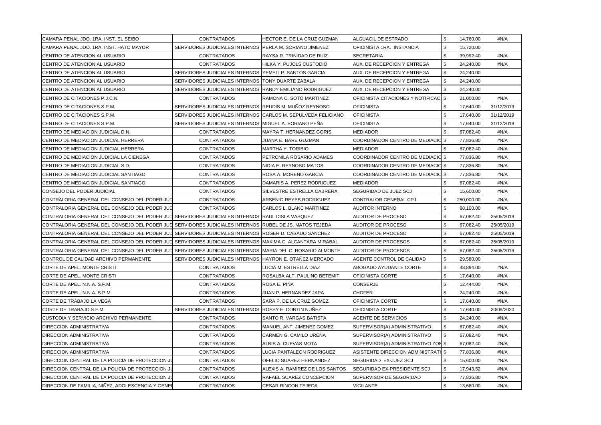| CAMARA PENAL JDO. 1RA. INST. EL SEIBO                                                                                | <b>CONTRATADOS</b>                                           | HECTOR E. DE LA CRUZ GUZMAN     | <b>ALGUACIL DE ESTRADO</b>                   | \$                | 14,760.00  | #N/A       |
|----------------------------------------------------------------------------------------------------------------------|--------------------------------------------------------------|---------------------------------|----------------------------------------------|-------------------|------------|------------|
| CAMARA PENAL JDO. 1RA. INST. HATO MAYOR                                                                              | SERVIDORES JUDICIALES INTERNOS PERLA M. SORIANO JIMENEZ      |                                 | OFICINISTA 1RA. INSTANCIA                    | \$                | 15,720.00  |            |
| ICENTRO DE ATENCION AL USUARIO                                                                                       | <b>CONTRATADOS</b>                                           | RAYSA R. TRINIDAD DE RUIZ       | <b>SECRETARIA</b>                            | \$                | 39,992.40  | #N/A       |
| <b>ICENTRO DE ATENCION AL USUARIO</b>                                                                                | <b>CONTRATADOS</b>                                           | HILKA Y. PUJOLS CUSTODIO        | AUX. DE RECEPCION Y ENTREGA                  | \$                | 24,240.00  | #N/A       |
| CENTRO DE ATENCION AL USUARIO                                                                                        | SERVIDORES JUDICIALES INTERNOS YEMELI P. SANTOS GARCIA       |                                 | AUX. DE RECEPCION Y ENTREGA                  | \$                | 24,240.00  |            |
| CENTRO DE ATENCION AL USUARIO                                                                                        | SERVIDORES JUDICIALES INTERNOS TONY DUARTE ZABALA            |                                 | AUX. DE RECEPCION Y ENTREGA                  | \$                | 24,240.00  |            |
| ICENTRO DE ATENCION AL USUARIO                                                                                       | SERVIDORES JUDICIALES INTERNOS RANDY EMILIANO RODRIGUEZ      |                                 | <b>AUX. DE RECEPCION Y ENTREGA</b>           | \$                | 24,240.00  |            |
| CENTRO DE CITACIONES P.J.C.N.                                                                                        | <b>CONTRATADOS</b>                                           | RAMONA C. SOTO MARTINEZ         | <b>OFICINISTA CITACIONES Y NOTIFICACI \$</b> |                   | 21.000.00  | #N/A       |
| CENTRO DE CITACIONES S.P.M.                                                                                          | SERVIDORES JUDICIALES INTERNOS REUDIS M. MUÑOZ REYNOSO       |                                 | <b>OFICINISTA</b>                            | \$                | 17,640.00  | 31/12/2019 |
| CENTRO DE CITACIONES S.P.M.                                                                                          | SERVIDORES JUDICIALES INTERNOS CARLOS M. SEPULVEDA FELICIANO |                                 | <b>OFICINISTA</b>                            | \$                | 17,640.00  | 31/12/2019 |
| CENTRO DE CITACIONES S.P.M.                                                                                          | SERVIDORES JUDICIALES INTERNOS MIGUEL A. SORIANO PEÑA        |                                 | <b>OFICINISTA</b>                            | \$                | 17,640.00  | 31/12/2019 |
| CENTRO DE MEDIACION JUDICIAL D.N.                                                                                    | <b>CONTRATADOS</b>                                           | MAYRA T. HERNANDEZ GORIS        | <b>MEDIADOR</b>                              | \$                | 67,082.40  | #N/A       |
| CENTRO DE MEDIACION JUDICIAL HERRERA                                                                                 | <b>CONTRATADOS</b>                                           | JUANA E. BARE GUZMAN            | COORDINADOR CENTRO DE MEDIACIO \$            |                   | 77,836.80  | #N/A       |
| CENTRO DE MEDIACION JUDICIAL HERRERA                                                                                 | <b>CONTRATADOS</b>                                           | <b>MARTHA Y. TORIBIO</b>        | <b>MEDIADOR</b>                              |                   | 67,082.40  | #N/A       |
| ICENTRO DE MEDIACION JUDICIAL LA CIENEGA                                                                             | <b>CONTRATADOS</b>                                           | PETRONILA ROSARIO ADAMES        | COORDINADOR CENTRO DE MEDIACIO \$            |                   | 77,836.80  | #N/A       |
| <b>ICENTRO DE MEDIACION JUDICIAL S.D.</b>                                                                            | <b>CONTRATADOS</b>                                           | NIDIA E. REYNOSO MATOS          | COORDINADOR CENTRO DE MEDIACIO \$            |                   | 77,836.80  | #N/A       |
| CENTRO DE MEDIACION JUDICIAL SANTIAGO                                                                                | <b>CONTRATADOS</b>                                           | ROSA A. MORENO GARCIA           | COORDINADOR CENTRO DE MEDIACIO \$            |                   | 77,836.80  | #N/A       |
| <b>ICENTRO DE MEDIACION JUDICIAL SANTIAGO</b>                                                                        | <b>CONTRATADOS</b>                                           | DAMARIS A. PEREZ RODRIGUEZ      | <b>MEDIADOR</b>                              | \$                | 67,082.40  | #N/A       |
| CONSEJO DEL PODER JUDICIAL                                                                                           | <b>CONTRATADOS</b>                                           | SILVESTRE ESTRELLA CABRERA      | <b>SEGURIDAD DE JUEZ SCJ</b>                 | \$                | 15,600.00  | #N/A       |
| CONTRALORIA GENERAL DEL CONSEJO DEL PODER JUD                                                                        | <b>CONTRATADOS</b>                                           | ARSENIO REYES RODRIGUEZ         | CONTRALOR GENERAL CPJ                        | \$                | 250,000.00 | #N/A       |
| ICONTRALORIA GENERAL DEL CONSEJO DEL PODER JUD                                                                       | <b>CONTRATADOS</b>                                           | CARLOS L. BLANC MARTINEZ        | <b>AUDITOR INTERNO</b>                       | \$                | 88,100.00  | #N/A       |
| CONTRALORIA GENERAL DEL CONSEJO DEL PODER JULI SERVIDORES JUDICIALES INTERNOS IRAUL DISLA VASQUEZ                    |                                                              |                                 | <b>AUDITOR DE PROCESO</b>                    | \$                | 67,082.40  | 25/05/2019 |
| CONTRALORIA GENERAL DEL CONSEJO DEL PODER JUDI SERVIDORES JUDICIALES INTERNOS RUBEL DE JS. MATOS TEJEDA              |                                                              |                                 | <b>AUDITOR DE PROCESO</b>                    | \$                | 67,082.40  | 25/05/2019 |
| CONTRALORIA GENERAL DEL CONSEJO DEL PODER JUD SERVIDORES JUDICIALES INTERNOS  ROGER D. CASADO SANCHEZ                |                                                              |                                 | <b>AUDITOR DE PROCESO</b>                    | \$                | 67,082.40  | 25/05/2019 |
| ICONTRALORIA GENERAL DEL CONSEJO DEL PODER JU <b>∏</b> SERVIDORES JUDICIALES INTERNOS ∣MAXIMA C. ALCANTARA MIRABAL I |                                                              |                                 | <b>AUDITOR DE PROCESOS</b>                   | \$                | 67,082.40  | 25/05/2019 |
| ICONTRALORIA GENERAL DEL CONSEJO DEL PODER JU∐ SERVIDORES JUDICIALES INTERNOS ∣MARIA DEL C. ROSARIO ALMONTE          |                                                              |                                 | AUDITOR DE PROCESOS                          | \$                | 67,082.40  | 25/05/2019 |
| CONTROL DE CALIDAD ARCHIVO PERMANENTE                                                                                | SERVIDORES JUDICIALES INTERNOS HAYRON E. OTAÑEZ MERCADO      |                                 | AGENTE CONTROL DE CALIDAD                    | \$                | 29,580.00  |            |
| CORTE DE APEL. MONTE CRISTI                                                                                          | <b>CONTRATADOS</b>                                           | LUCIA M. ESTRELLA DIAZ          | ABOGADO AYUDANTE CORTE                       | \$                | 48,894.00  | #N/A       |
| CORTE DE APEL. MONTE CRISTI                                                                                          | <b>CONTRATADOS</b>                                           | ROSALBA ALT. PAULINO BETEMIT    | OFICINISTA CORTE                             | \$                | 17,640.00  | #N/A       |
| ICORTE DE APEL. N.N.A. S.F.M.                                                                                        | <b>CONTRATADOS</b>                                           | ROSA E. PIÑA                    | <b>CONSERJE</b>                              | \$                | 12,444.00  | #N/A       |
| ICORTE DE APEL. N.N.A. S.P.M.                                                                                        | <b>CONTRATADOS</b>                                           | JUAN P. HERNANDEZ JAPA          | <b>CHOFER</b>                                | \$                | 24,240.00  | #N/A       |
| CORTE DE TRABAJO LA VEGA                                                                                             | <b>CONTRATADOS</b>                                           | SARA P. DE LA CRUZ GOMEZ        | <b>OFICINISTA CORTE</b>                      | \$                | 17,640.00  | #N/A       |
| CORTE DE TRABAJO S.F.M.                                                                                              | SERVIDORES JUDICIALES INTERNOS ROSSY E. CONTIN NUÑEZ         |                                 | <b>OFICINISTA CORTE</b>                      | \$                | 17,640.00  | 20/09/2020 |
| CUSTODIA Y SERVICIO ARCHIVO PERMANENTE                                                                               | <b>CONTRATADOS</b>                                           | <b>SANTO R. VARGAS BATISTA</b>  | <b>AGENTE DE SERVICIOS</b>                   | \$                | 24,240.00  | #N/A       |
| <b>DIRECCION ADMINISTRATIVA</b>                                                                                      | <b>CONTRATADOS</b>                                           | MANUEL ANT. JIMENEZ GOMEZ       | SUPERVISOR(A) ADMINISTRATIVO                 | \$                | 67,082.40  | #N/A       |
| <b>DIRECCION ADMINISTRATIVA</b>                                                                                      | <b>CONTRATADOS</b>                                           | CARMEN G. CAMILO UREÑA          | SUPERVISOR(A) ADMINISTRATIVO                 | \$                | 67,082.40  | #N/A       |
| <b>DIRECCION ADMINISTRATIVA</b>                                                                                      | <b>CONTRATADOS</b>                                           | ALBIS A. CUEVAS MOTA            | SUPERVISOR(A) ADMINISTRATIVO ZON \$          |                   | 67,082.40  | #N/A       |
| <b>DIRECCION ADMINISTRATIVA</b>                                                                                      | <b>CONTRATADOS</b>                                           | LUCIA PANTALEON RODRIGUEZ       | ASISTENTE DIRECCION ADMINISTRATI \$          |                   | 77,836.80  | #N/A       |
| <b>DIRECCION CENTRAL DE LA POLICIA DE PROTECCION JU</b>                                                              | <b>CONTRATADOS</b>                                           | <b>OFELIO SUAREZ HERNANDEZ</b>  | SEGURIDAD EX-JUEZ SCJ                        | \$                | 15,600.00  | #N/A       |
| DIRECCION CENTRAL DE LA POLICIA DE PROTECCION JU                                                                     | <b>CONTRATADOS</b>                                           | ALEXIS A. RAMIREZ DE LOS SANTOS | SEGURIDAD EX-PRESIDENTE SCJ                  | \$                | 17,943.52  | #N/A       |
| DIRECCION CENTRAL DE LA POLICIA DE PROTECCION JU                                                                     | <b>CONTRATADOS</b>                                           | RAFAEL SUAREZ CONCEPCION        | SUPERVISOR DE SEGURIDAD                      | \$                | 77,836.80  | #N/A       |
| DIRECCION DE FAMILIA, NIÑEZ, ADOLESCENCIA Y GENEI                                                                    | CONTRATADOS                                                  | <b>CESAR RINCON TEJEDA</b>      | <b>VIGILANTE</b>                             | $\boldsymbol{\$}$ | 13,680.00  | #N/A       |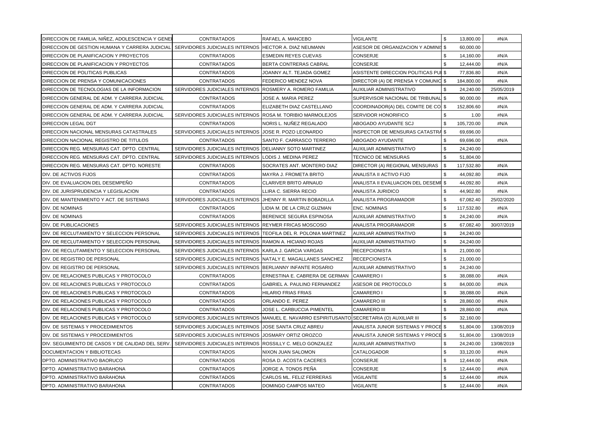| DIRECCION DE FAMILIA, NIÑEZ, ADOLESCENCIA Y GENEI                                                     | <b>CONTRATADOS</b>                                             | RAFAEL A. MANCEBO                                           | VIGILANTE                                | \$  | 13.800.00  | #N/A       |
|-------------------------------------------------------------------------------------------------------|----------------------------------------------------------------|-------------------------------------------------------------|------------------------------------------|-----|------------|------------|
| DIRECCION DE GESTION HUMANA Y CARRERA JUDICIAL  SERVIDORES JUDICIALES INTERNOS HECTOR A. DIAZ NEUMANN |                                                                |                                                             | ASESOR DE ORGANIZACION Y ADMINIS \$      |     | 60,000.00  |            |
| DIRECCION DE PLANIFICACION Y PROYECTOS                                                                | <b>CONTRATADOS</b>                                             | <b>ESMEDIN REYES CUEVAS</b>                                 | CONSERJE                                 |     | 14,160.00  | #N/A       |
| DIRECCION DE PLANIFICACION Y PROYECTOS                                                                | <b>CONTRATADOS</b>                                             | BERTA CONTRERAS CABRAL                                      | CONSERJE                                 | \$  | 12,444.00  | #N/A       |
| <b>DIRECCION DE POLITICAS PUBLICAS</b>                                                                | <b>CONTRATADOS</b>                                             | JOANNY ALT. TEJADA GOMEZ                                    | ASISTENTE DIRECCION POLITICAS PUI \$     |     | 77,836.80  | #N/A       |
| DIRECCION DE PRENSA Y COMUNICACIONES                                                                  | <b>CONTRATADOS</b>                                             | <b>FEDERICO MENDEZ NOVA</b>                                 | DIRECTOR (A) DE PRENSA Y COMUNIC \$      |     | 184,800.00 | #N/A       |
| DIRECCION DE TECNOLOGIAS DE LA INFORMACION                                                            | SERVIDORES JUDICIALES INTERNOS ROSMERY A. ROMERO FAMILIA       |                                                             | AUXILIAR ADMINISTRATIVO                  | -\$ | 24,240.00  | 25/05/2019 |
| DIRECCION GENERAL DE ADM. Y CARRERA JUDICIAL                                                          | <b>CONTRATADOS</b>                                             | JOSE A. MARIA PEREZ                                         | SUPERVISOR NACIONAL DE TRIBUNAL \$       |     | 90,000.00  | #N/A       |
| DIRECCION GENERAL DE ADM. Y CARRERA JUDICIAL                                                          | <b>CONTRATADOS</b>                                             | ELIZABETH DIAZ CASTELLANO                                   | COORDINADOR(A) DEL COMITE DE CO \$       |     | 152,806.60 | #N/A       |
| DIRECCION GENERAL DE ADM. Y CARRERA JUDICIAL                                                          | SERVIDORES JUDICIALES INTERNOS ROSA M. TORIBIO MARMOLEJOS      |                                                             | SERVIDOR HONORIFICO                      |     | 1.00       | #N/A       |
| <b>DIRECCION LEGAL DGT</b>                                                                            | <b>CONTRATADOS</b>                                             | NORIS L. NUÑEZ REGALADO                                     | ABOGADO AYUDANTE SCJ                     | \$  | 105,720.00 | #N/A       |
| DIRECCION NACIONAL MENSURAS CATASTRALES                                                               | SERVIDORES JUDICIALES INTERNOS JJOSE R. POZO LEONARDO          |                                                             | <b>INSPECTOR DE MENSURAS CATASTRA \$</b> |     | 69,696.00  |            |
| DIRECCION NACIONAL REGISTRO DE TITULOS                                                                | <b>CONTRATADOS</b>                                             | SANTO F. CARRASCO TERRERO                                   | ABOGADO AYUDANTE                         | \$  | 69,696.00  | #N/A       |
| DIRECCION REG. MENSURAS CAT. DPTO. CENTRAL                                                            | SERVIDORES JUDICIALES INTERNOS DELIANNY SOTO MARTINEZ          |                                                             | AUXILIAR ADMINISTRATIVO                  | \$  | 24,240.00  |            |
| DIRECCION REG. MENSURAS CAT. DPTO. CENTRAL                                                            | SERVIDORES JUDICIALES INTERNOS ILODIS J. MEDINA PEREZ          |                                                             | TECNICO DE MENSURAS                      | \$  | 51,804.00  |            |
| DIRECCION REG. MENSURAS CAT. DPTO. NORESTE                                                            | <b>CONTRATADOS</b>                                             | SOCRATES ANT. MONTERO DIAZ                                  | DIRECTOR (A) REGIONAL MENSURAS           | \$  | 117,532.80 | #N/A       |
| DIV. DE ACTIVOS FIJOS                                                                                 | <b>CONTRATADOS</b>                                             | <b>MAYRA J. FROMETA BRITO</b>                               | ANALISTA II ACTIVO FIJO                  |     | 44,092.80  | #N/A       |
| DIV. DE EVALUACION DEL DESEMPEÑO                                                                      | <b>CONTRATADOS</b>                                             | <b>CLARIVER BRITO ARNAUD</b>                                | ANALISTA II EVALUACION DEL DESEMI \$     |     | 44,092.80  | #N/A       |
| DIV. DE JURISPRUDENCIA Y LEGISLACION                                                                  | <b>CONTRATADOS</b>                                             | LLIRA C. SIERRA RECIO                                       | <b>ANALISTA JURIDICO</b>                 | \$  | 44,902.80  | #N/A       |
| DIV. DE MANTENIMIENTO Y ACT. DE SISTEMAS                                                              | SERVIDORES JUDICIALES INTERNOS                                 | <b>JHENNY R. MARTIN BOBADILLA</b>                           | ANALISTA PROGRAMADOR                     | \$  | 67,082.40  | 25/02/2020 |
| DIV. DE NOMINAS                                                                                       | <b>CONTRATADOS</b>                                             | LIDIA M. DE LA CRUZ GUZMAN                                  | <b>ENC. NOMINAS</b>                      | \$  | 117,532.80 | #N/A       |
| DIV. DE NOMINAS                                                                                       | <b>CONTRATADOS</b>                                             | BERENICE SEGURA ESPINOSA                                    | AUXILIAR ADMINISTRATIVO                  | \$  | 24,240.00  | #N/A       |
| <b>DIV. DE PUBLICACIONES</b>                                                                          | SERVIDORES JUDICIALES INTERNOS REYMER FRICAS MOSCOSO           |                                                             | <b>ANALISTA PROGRAMADOR</b>              | \$  | 67,082.40  | 30/07/2019 |
| DIV. DE RECLUTAMIENTO Y SELECCION PERSONAL                                                            | SERVIDORES JUDICIALES INTERNOS TEOFILA DEL R. POLONIA MARTINEZ |                                                             | AUXILIAR ADMINISTRATIVO                  | \$  | 24,240.00  |            |
| DIV. DE RECLUTAMIENTO Y SELECCION PERSONAL                                                            | SERVIDORES JUDICIALES INTERNOS RAMON A. HICIANO ROJAS          |                                                             | AUXILIAR ADMINISTRATIVO                  | \$  | 24,240.00  |            |
| DIV. DE RECLUTAMIENTO Y SELECCION PERSONAL                                                            | SERVIDORES JUDICIALES INTERNOS (KARLA J. GARCIA VARGAS         |                                                             | <b>RECEPCIONISTA</b>                     | \$  | 21,000.00  |            |
| DIV. DE REGISTRO DE PERSONAL                                                                          | SERVIDORES JUDICIALES INTERNOS NATALY E. MAGALLANES SANCHEZ    |                                                             | <b>RECEPCIONISTA</b>                     | \$  | 21,000.00  |            |
| DIV. DE REGISTRO DE PERSONAL                                                                          | SERVIDORES JUDICIALES INTERNOS BERLIANNY INFANTE ROSARIO       |                                                             | AUXILIAR ADMINISTRATIVO                  | \$  | 24,240.00  |            |
| DIV. DE RELACIONES PUBLICAS Y PROTOCOLO                                                               | <b>CONTRATADOS</b>                                             | ERNESTINA E. CABRERA DE GERMAN                              | <b>CAMARERO I</b>                        | \$  | 38,088.00  | #N/A       |
| DIV. DE RELACIONES PUBLICAS Y PROTOCOLO                                                               | <b>CONTRATADOS</b>                                             | <b>GABRIEL A. PAULINO FERNANDEZ</b>                         | ASESOR DE PROTOCOLO                      | \$  | 84,000.00  | #N/A       |
| <b>IDIV. DE RELACIONES PUBLICAS Y PROTOCOLO</b>                                                       | <b>CONTRATADOS</b>                                             | <b>HILARIO FRIAS FRIAS</b>                                  | <b>CAMARERO I</b>                        | \$  | 38,088.00  | #N/A       |
| DIV. DE RELACIONES PUBLICAS Y PROTOCOLO                                                               | <b>CONTRATADOS</b>                                             | ORLANDO E. PEREZ                                            | <b>CAMARERO III</b>                      | \$  | 28,860.00  | #N/A       |
| DIV. DE RELACIONES PUBLICAS Y PROTOCOLO                                                               | <b>CONTRATADOS</b>                                             | JOSE L. CARBUCCIA PIMENTEL                                  | <b>CAMARERO III</b>                      | \$  | 28,860.00  | #N/A       |
| DIV. DE RELACIONES PUBLICAS Y PROTOCOLO                                                               | SERVIDORES JUDICIALES INTERNOS                                 | MANUEL E. NAVARRO ESPIRITUSANTO SECRETARIA (O) AUXILIAR III |                                          | \$  | 32,160.00  |            |
| DIV. DE SISTEMAS Y PROCEDIMIENTOS                                                                     | SERVIDORES JUDICIALES INTERNOS JJOSE SANTA CRUZ ABREU          |                                                             | ANALISTA JUNIOR SISTEMAS Y PROCE \$      |     | 51,804.00  | 13/08/2019 |
| DIV. DE SISTEMAS Y PROCEDIMIENTOS                                                                     | SERVIDORES JUDICIALES INTERNOS                                 | JOSMARY ORTIZ OROZCO                                        | ANALISTA JUNIOR SISTEMAS Y PROCE \$      |     | 51,804.00  | 13/08/2019 |
| <b>DIV. SEGUIMIENTO DE CASOS Y DE CALIDAD DEL SERV.</b>                                               | SERVIDORES JUDICIALES INTERNOS                                 | ROSSILLY C. MELO GONZALEZ                                   | AUXILIAR ADMINISTRATIVO                  | \$  | 24,240.00  | 13/08/2019 |
| DOCUMENTACION Y BIBLIOTECAS                                                                           | <b>CONTRATADOS</b>                                             | NIXON JUAN SALOMON                                          | CATALOGADOR                              | \$  | 33,120.00  | #N/A       |
| DPTO. ADMINISTRATIVO BAORUCO                                                                          | <b>CONTRATADOS</b>                                             | ROSA D. ACOSTA CACERES                                      | CONSERJE                                 | \$  | 12,444.00  | #N/A       |
| DPTO. ADMINISTRATIVO BARAHONA                                                                         | <b>CONTRATADOS</b>                                             | JORGE A. TONOS PEÑA                                         | CONSERJE                                 | \$  | 12,444.00  | #N/A       |
| DPTO. ADMINISTRATIVO BARAHONA                                                                         | <b>CONTRATADOS</b>                                             | CARLOS ML. FELIZ FERRERAS                                   | VIGILANTE                                | \$  | 12,444.00  | #N/A       |
| DPTO. ADMINISTRATIVO BARAHONA                                                                         | <b>CONTRATADOS</b>                                             | DOMINGO CAMPOS MATEO                                        | <b>VIGILANTE</b>                         | \$  | 12,444.00  | #N/A       |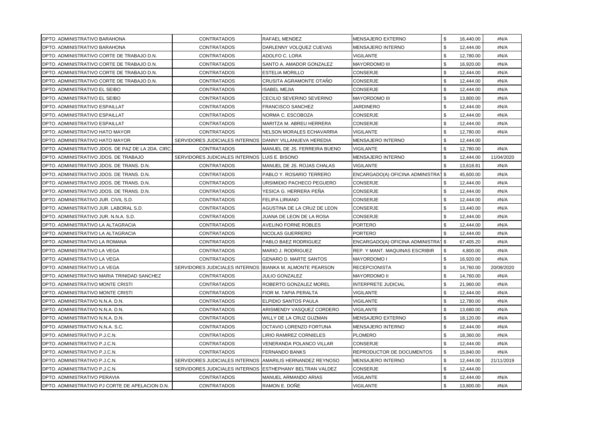| DPTO. ADMINISTRATIVO BARAHONA                       | <b>CONTRATADOS</b>                                         | <b>RAFAEL MENDEZ</b>            | <b>MENSAJERO EXTERNO</b>                        | \$<br>16,440.00 | #N/A       |
|-----------------------------------------------------|------------------------------------------------------------|---------------------------------|-------------------------------------------------|-----------------|------------|
| DPTO. ADMINISTRATIVO BARAHONA                       | <b>CONTRATADOS</b>                                         | DARLENNY VOLQUEZ CUEVAS         | <b>MENSAJERO INTERNO</b>                        | \$<br>12,444.00 | #N/A       |
| DPTO. ADMINISTRATIVO CORTE DE TRABAJO D.N.          | <b>CONTRATADOS</b>                                         | ADOLFO C. LORA                  | VIGILANTE                                       | \$<br>12,780.00 | #N/A       |
| IDPTO. ADMINISTRATIVO CORTE DE TRABAJO D.N.         | <b>CONTRATADOS</b>                                         | SANTO A. AMADOR GONZALEZ        | <b>MAYORDOMO III</b>                            | \$<br>16,920.00 | #N/A       |
| DPTO. ADMINISTRATIVO CORTE DE TRABAJO D.N.          | <b>CONTRATADOS</b>                                         | <b>ESTELIA MORILLO</b>          | <b>CONSERJE</b>                                 | \$<br>12.444.00 | #N/A       |
| DPTO. ADMINISTRATIVO CORTE DE TRABAJO D.N.          | <b>CONTRATADOS</b>                                         | CRUSITA AGRAMONTE OTAÑO         | <b>CONSERJE</b>                                 | \$<br>12,444.00 | #N/A       |
| DPTO. ADMINISTRATIVO EL SEIBO                       | <b>CONTRATADOS</b>                                         | <b>ISABEL MEJIA</b>             | <b>CONSERJE</b>                                 | \$<br>12,444.00 | #N/A       |
| DPTO. ADMINISTRATIVO EL SEIBO                       | <b>CONTRATADOS</b>                                         | CECILIO SEVERINO SEVERINO       | <b>MAYORDOMO III</b>                            | \$<br>13,800.00 | #N/A       |
| DPTO. ADMINISTRATIVO ESPAILLAT                      | <b>CONTRATADOS</b>                                         | <b>FRANCISCO SANCHEZ</b>        | JARDINERO                                       | \$<br>12,444.00 | #N/A       |
| DPTO. ADMINISTRATIVO ESPAILLAT                      | <b>CONTRATADOS</b>                                         | NORMA C. ESCOBOZA               | <b>CONSERJE</b>                                 | \$<br>12,444.00 | #N/A       |
| DPTO. ADMINISTRATIVO ESPAILLAT                      | <b>CONTRATADOS</b>                                         | MARITZA M. ABREU HERRERA        | <b>CONSERJE</b>                                 | \$<br>12,444.00 | #N/A       |
| DPTO. ADMINISTRATIVO HATO MAYOR                     | <b>CONTRATADOS</b>                                         | NELSON MORALES ECHAVARRIA       | VIGILANTE                                       | \$<br>12,780.00 | #N/A       |
| DPTO. ADMINISTRATIVO HATO MAYOR                     | SERVIDORES JUDICIALES INTERNOS DANNY VILLANUEVA HEREDIA    |                                 | <b>MENSAJERO INTERNO</b>                        | \$<br>12,444.00 |            |
| IDPTO. ADMINISTRATIVO JDOS. DE PAZ DE LA 2DA. CIRC. | <b>CONTRATADOS</b>                                         | MANUEL DE JS. FERREIRA BUENO    | VIGILANTE                                       | \$<br>12,780.00 | #N/A       |
| DPTO. ADMINISTRATIVO JDOS. DE TRABAJO               | SERVIDORES JUDICIALES INTERNOS ILUIS E. BISONO             |                                 | MENSAJERO INTERNO                               | \$<br>12,444.00 | 11/04/2020 |
| DPTO. ADMINISTRATIVO JDOS. DE TRANS. D.N.           | <b>CONTRATADOS</b>                                         | MANUEL DE JS. ROJAS CHALAS      | <b>VIGILANTE</b>                                | \$<br>13,618.81 | #N/A       |
| DPTO. ADMINISTRATIVO JDOS. DE TRANS. D.N.           | <b>CONTRATADOS</b>                                         | PABLO Y. ROSARIO TERRERO        | ENCARGADO(A) OFICINA ADMINISTRA <sup>1</sup> \$ | 45,600.00       | #N/A       |
| DPTO. ADMINISTRATIVO JDOS. DE TRANS. D.N.           | <b>CONTRATADOS</b>                                         | URSIMIDIO PACHECO PEGUERO       | <b>CONSERJE</b>                                 | \$<br>12,444.00 | #N/A       |
| DPTO. ADMINISTRATIVO JDOS. DE TRANS. D.N.           | <b>CONTRATADOS</b>                                         | YESICA G. HERRERA PEÑA          | CONSERJE                                        | \$<br>12,444.00 | #N/A       |
| DPTO. ADMINISTRATIVO JUR. CIVIL S.D.                | <b>CONTRATADOS</b>                                         | <b>FELIPA LIRIANO</b>           | <b>CONSERJE</b>                                 | \$<br>12,444.00 | #N/A       |
| DPTO. ADMINISTRATIVO JUR. LABORAL S.D.              | <b>CONTRATADOS</b>                                         | AGUSTINA DE LA CRUZ DE LEON     | <b>CONSERJE</b>                                 | \$<br>13,440.00 | #N/A       |
| DPTO. ADMINISTRATIVO JUR. N.N.A. S.D.               | <b>CONTRATADOS</b>                                         | JUANA DE LEON DE LA ROSA        | CONSERJE                                        | \$<br>12,444.00 | #N/A       |
| IDPTO. ADMINISTRATIVO LA ALTAGRACIA                 | <b>CONTRATADOS</b>                                         | <b>AVELINO FORNE ROBLES</b>     | <b>PORTERO</b>                                  | \$<br>12,444.00 | #N/A       |
| DPTO. ADMINISTRATIVO LA ALTAGRACIA                  | <b>CONTRATADOS</b>                                         | NICOLAS GUERRERO                | <b>PORTERO</b>                                  | \$<br>12,444.00 | #N/A       |
| DPTO. ADMINISTRATIVO LA ROMANA                      | <b>CONTRATADOS</b>                                         | PABLO BAEZ RODRIGUEZ            | ENCARGADO(A) OFICINA ADMINISTRA <sup>1</sup> \$ | 67,405.20       | #N/A       |
| DPTO. ADMINISTRATIVO LA VEGA                        | <b>CONTRATADOS</b>                                         | MARIO J. RODRIGUEZ              | REP. Y MANT. MAQUINAS ESCRIBIR                  | \$<br>4,800.00  | #N/A       |
| DPTO. ADMINISTRATIVO LA VEGA                        | <b>CONTRATADOS</b>                                         | <b>GENARO D. MARTE SANTOS</b>   | MAYORDOMO I                                     | \$<br>16,920.00 | #N/A       |
| DPTO. ADMINISTRATIVO LA VEGA                        | SERVIDORES JUDICIALES INTERNOS BIANKA M. ALMONTE PEARSON   |                                 | <b>RECEPCIONISTA</b>                            | \$<br>14,760.00 | 20/09/2020 |
| DPTO. ADMINISTRATIVO MARIA TRINIDAD SANCHEZ         | <b>CONTRATADOS</b>                                         | JULIO GONZALEZ                  | MAYORDOMO II                                    | \$<br>14,760.00 | #N/A       |
| <b>DPTO. ADMINISTRATIVO MONTE CRISTI</b>            | <b>CONTRATADOS</b>                                         | <b>ROBERTO GONZALEZ MOREL</b>   | <b>INTERPRETE JUDICIAL</b>                      | \$<br>21,960.00 | #N/A       |
| IDPTO. ADMINISTRATIVO MONTE CRISTI                  | <b>CONTRATADOS</b>                                         | FIOR M. TAPIA PERALTA           | <b>VIGILANTE</b>                                | \$<br>12,444.00 | #N/A       |
| DPTO. ADMINISTRATIVO N.N.A. D.N.                    | <b>CONTRATADOS</b>                                         | <b>IELPIDIO SANTOS PAULA</b>    | <b>VIGILANTE</b>                                | \$<br>12,780.00 | #N/A       |
| DPTO. ADMINISTRATIVO N.N.A. D.N.                    | <b>CONTRATADOS</b>                                         | ARISMENDY VASQUEZ CORDERO       | <b>VIGILANTE</b>                                | \$<br>13,680.00 | #N/A       |
| DPTO. ADMINISTRATIVO N.N.A. D.N.                    | <b>CONTRATADOS</b>                                         | WILLY DE LA CRUZ GUZMAN         | MENSAJERO EXTERNO                               | \$<br>18,120.00 | #N/A       |
| DPTO. ADMINISTRATIVO N.N.A. S.C.                    | <b>CONTRATADOS</b>                                         | <b>OCTAVIO LORENZO FORTUNA</b>  | MENSAJERO INTERNO                               | \$<br>12,444.00 | #N/A       |
| DPTO. ADMINISTRATIVO P.J.C.N.                       | <b>CONTRATADOS</b>                                         | LIRIO RAMIREZ CORNIELES         | <b>PLOMERO</b>                                  | \$<br>18,360.00 | #N/A       |
| DPTO. ADMINISTRATIVO P.J.C.N.                       | <b>CONTRATADOS</b>                                         | <b>VENERANDA POLANCO VILLAR</b> | CONSERJE                                        | \$<br>12,444.00 | #N/A       |
| DPTO. ADMINISTRATIVO P.J.C.N.                       | <b>CONTRATADOS</b>                                         | FERNANDO BANKS                  | REPRODUCTOR DE DOCUMENTOS                       | \$<br>15,840.00 | #N/A       |
| DPTO. ADMINISTRATIVO P.J.C.N.                       | SERVIDORES JUDICIALES INTERNOS (AMARILIS HERNANDEZ REYNOSO |                                 | MENSAJERO INTERNO                               | \$<br>12,444.00 | 21/11/2019 |
| <b>DPTO. ADMINISTRATIVO P.J.C.N.</b>                | SERVIDORES JUDICIALES INTERNOS ESTHEPHANY BELTRAN VALDEZ   |                                 | <b>CONSERJE</b>                                 | \$<br>12,444.00 |            |
| DPTO. ADMINISTRATIVO PERAVIA                        | <b>CONTRATADOS</b>                                         | <b>MANUEL ARMANDO ARIAS</b>     | VIGILANTE                                       | \$<br>12,444.00 | #N/A       |
| DPTO. ADMINISTRATIVO PJ CORTE DE APELACION D.N.     | <b>CONTRATADOS</b>                                         | RAMON E. DOÑE                   | <b>VIGILANTE</b>                                | \$<br>13,800.00 | #N/A       |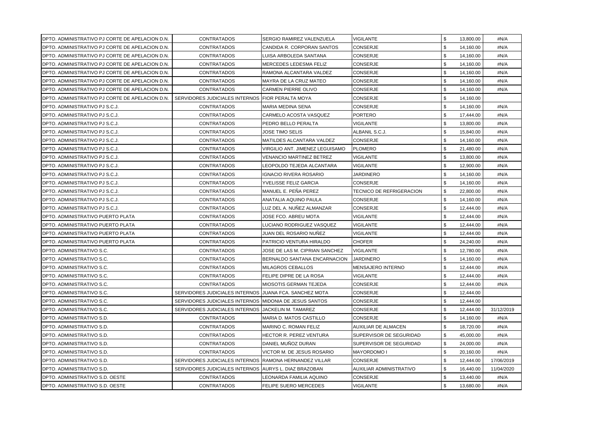| IDPTO. ADMINISTRATIVO PJ CORTE DE APELACION D.N.        | <b>CONTRATADOS</b>                                     | SERGIO RAMIREZ VALENZUELA       | <b>VIGILANTE</b>                | \$<br>13,800.00 | #N/A       |
|---------------------------------------------------------|--------------------------------------------------------|---------------------------------|---------------------------------|-----------------|------------|
| IDPTO. ADMINISTRATIVO PJ CORTE DE APELACION D.N.        | <b>CONTRATADOS</b>                                     | CANDIDA R. CORPORAN SANTOS      | CONSERJE                        | \$<br>14,160.00 | #N/A       |
| <b>IDPTO. ADMINISTRATIVO PJ CORTE DE APELACION D.N.</b> | <b>CONTRATADOS</b>                                     | LUISA ARBOLEDA SANTANA          | <b>CONSERJE</b>                 | \$<br>14,160.00 | #N/A       |
| <b>IDPTO. ADMINISTRATIVO PJ CORTE DE APELACION D.N.</b> | <b>CONTRATADOS</b>                                     | MERCEDES LEDESMA FELIZ          | CONSERJE                        | \$<br>14,160.00 | #N/A       |
| IDPTO. ADMINISTRATIVO PJ CORTE DE APELACION D.N.        | <b>CONTRATADOS</b>                                     | RAMONA ALCANTARA VALDEZ         | <b>CONSERJE</b>                 | \$<br>14.160.00 | #N/A       |
| <b>IDPTO. ADMINISTRATIVO PJ CORTE DE APELACION D.N.</b> | <b>CONTRATADOS</b>                                     | MAYRA DE LA CRUZ MATEO          | CONSERJE                        | \$<br>14,160.00 | #N/A       |
| <b>IDPTO. ADMINISTRATIVO PJ CORTE DE APELACION D.N.</b> | <b>CONTRATADOS</b>                                     | <b>CARMEN PIERRE OLIVO</b>      | CONSERJE                        | \$<br>14,160.00 | #N/A       |
| IDPTO. ADMINISTRATIVO PJ CORTE DE APELACION D.N.        | SERVIDORES JUDICIALES INTERNOS FIOR PERALTA MOYA       |                                 | CONSERJE                        | \$<br>14,160.00 |            |
| <b>IDPTO. ADMINISTRATIVO PJ S.C.J.</b>                  | <b>CONTRATADOS</b>                                     | <b>MARIA MEDINA SENA</b>        | CONSERJE                        | \$<br>14,160.00 | #N/A       |
| <b>IDPTO. ADMINISTRATIVO PJ S.C.J.</b>                  | <b>CONTRATADOS</b>                                     | CARMELO ACOSTA VASQUEZ          | <b>PORTERO</b>                  | \$<br>17,444.00 | #N/A       |
| <b>IDPTO. ADMINISTRATIVO PJ S.C.J.</b>                  | <b>CONTRATADOS</b>                                     | PEDRO BELLO PERALTA             | VIGILANTE                       | \$<br>13,800.00 | #N/A       |
| IDPTO. ADMINISTRATIVO PJ S.C.J.                         | <b>CONTRATADOS</b>                                     | JOSE TIMO SELIS                 | ALBANIL S.C.J.                  | \$<br>15,840.00 | #N/A       |
| <b>IDPTO. ADMINISTRATIVO PJ S.C.J.</b>                  | <b>CONTRATADOS</b>                                     | MATILDES ALCANTARA VALDEZ       | CONSERJE                        | \$<br>14,160.00 | #N/A       |
| <b>IDPTO. ADMINISTRATIVO PJ S.C.J.</b>                  | <b>CONTRATADOS</b>                                     | VIRGILIO ANT. JIMENEZ LEGUISAMO | <b>PLOMERO</b>                  | \$<br>21,480.00 | #N/A       |
| <b>IDPTO. ADMINISTRATIVO PJ S.C.J.</b>                  | <b>CONTRATADOS</b>                                     | VENANCIO MARTINEZ BETREZ        | VIGILANTE                       | \$<br>13,800.00 | #N/A       |
| <b>IDPTO. ADMINISTRATIVO PJ S.C.J.</b>                  | <b>CONTRATADOS</b>                                     | EOPOLDO TEJEDA ALCANTARA.       | <b>VIGILANTE</b>                | \$<br>12,900.00 | #N/A       |
| IDPTO. ADMINISTRATIVO PJ S.C.J.                         | <b>CONTRATADOS</b>                                     | <b>IGNACIO RIVERA ROSARIO</b>   | JARDINERO                       | \$<br>14,160.00 | #N/A       |
| <b>IDPTO. ADMINISTRATIVO PJ S.C.J.</b>                  | <b>CONTRATADOS</b>                                     | YVELISSE FELIZ GARCIA           | CONSERJE                        | \$<br>14,160.00 | #N/A       |
| <b>IDPTO. ADMINISTRATIVO PJ S.C.J.</b>                  | <b>CONTRATADOS</b>                                     | MANUEL E. PEÑA PEREZ            | <b>TECNICO DE REFRIGERACION</b> | \$<br>22,800.00 | #N/A       |
| IDPTO. ADMINISTRATIVO PJ S.C.J.                         | <b>CONTRATADOS</b>                                     | ANATALIA AQUINO PAULA           | CONSERJE                        | \$<br>14,160.00 | #N/A       |
| <b>IDPTO. ADMINISTRATIVO PJ S.C.J.</b>                  | <b>CONTRATADOS</b>                                     | LUZ DEL A. NUÑEZ ALMANZAR       | CONSERJE                        | \$<br>12,444.00 | #N/A       |
| IDPTO. ADMINISTRATIVO PUERTO PLATA                      | <b>CONTRATADOS</b>                                     | JOSE FCO. ABREU MOTA            | VIGILANTE                       | \$<br>12,444.00 | #N/A       |
| <b>IDPTO. ADMINISTRATIVO PUERTO PLATA</b>               | <b>CONTRATADOS</b>                                     | LUCIANO RODRIGUEZ VASQUEZ       | <b>VIGILANTE</b>                | \$<br>12,444.00 | #N/A       |
| <b>IDPTO. ADMINISTRATIVO PUERTO PLATA</b>               | <b>CONTRATADOS</b>                                     | JUAN DEL ROSARIO NUÑEZ          | <b>VIGILANTE</b>                | \$<br>12,444.00 | #N/A       |
| <b>IDPTO. ADMINISTRATIVO PUERTO PLATA</b>               | <b>CONTRATADOS</b>                                     | PATRICIO VENTURA HIRALDO        | CHOFER                          | \$<br>24,240.00 | #N/A       |
| <b>DPTO. ADMINISTRATIVO S.C.</b>                        | <b>CONTRATADOS</b>                                     | JOSE DE LAS M. CIPRIAN SANCHEZ  | <b>VIGILANTE</b>                | \$<br>12,780.00 | #N/A       |
| <b>IDPTO. ADMINISTRATIVO S.C.</b>                       | <b>CONTRATADOS</b>                                     | BERNALDO SANTANA ENCARNACION    | <b>JARDINERO</b>                | \$<br>14,160.00 | #N/A       |
| <b>DPTO. ADMINISTRATIVO S.C.</b>                        | <b>CONTRATADOS</b>                                     | <b>MILAGROS CEBALLOS</b>        | MENSAJERO INTERNO               | \$<br>12,444.00 | #N/A       |
| <b>IDPTO. ADMINISTRATIVO S.C.</b>                       | <b>CONTRATADOS</b>                                     | FELIPE DIPRE DE LA ROSA         | <b>VIGILANTE</b>                | \$<br>12,444.00 | #N/A       |
| <b>IDPTO. ADMINISTRATIVO S.C.</b>                       | <b>CONTRATADOS</b>                                     | MIOSOTIS GERMAN TEJEDA          | CONSERJE                        | \$<br>12,444.00 | #N/A       |
| <b>IDPTO. ADMINISTRATIVO S.C.</b>                       | SERVIDORES JUDICIALES INTERNOS JUANA FCA. SANCHEZ MOTA |                                 | <b>CONSERJE</b>                 | \$<br>12,444.00 |            |
| <b>IDPTO. ADMINISTRATIVO S.C.</b>                       | SERVIDORES JUDICIALES INTERNOS MIDONIA DE JESUS SANTOS |                                 | CONSERJE                        | \$<br>12,444.00 |            |
| <b>IDPTO. ADMINISTRATIVO S.C.</b>                       | SERVIDORES JUDICIALES INTERNOS JACKELIN M. TAMAREZ     |                                 | CONSERJE                        | \$<br>12,444.00 | 31/12/2019 |
| <b>IDPTO. ADMINISTRATIVO S.D.</b>                       | <b>CONTRATADOS</b>                                     | <b>MARIA D. MATOS CASTILLO</b>  | CONSERJE                        | \$<br>14,160.00 | #N/A       |
| <b>IDPTO. ADMINISTRATIVO S.D.</b>                       | <b>CONTRATADOS</b>                                     | MARINO C. ROMAN FELIZ           | <b>AUXILIAR DE ALMACEN</b>      | \$<br>18,720.00 | #N/A       |
| <b>IDPTO. ADMINISTRATIVO S.D.</b>                       | <b>CONTRATADOS</b>                                     | HECTOR R. PEREZ VENTURA         | SUPERVISOR DE SEGURIDAD         | \$<br>45,000.00 | #N/A       |
| <b>IDPTO. ADMINISTRATIVO S.D.</b>                       | <b>CONTRATADOS</b>                                     | DANIEL MUÑOZ DURAN              | SUPERVISOR DE SEGURIDAD         | \$<br>24,000.00 | #N/A       |
| IDPTO. ADMINISTRATIVO S.D.                              | <b>CONTRATADOS</b>                                     | VICTOR M. DE JESUS ROSARIO      | MAYORDOMO I                     | \$<br>20,160.00 | #N/A       |
| <b>IDPTO. ADMINISTRATIVO S.D.</b>                       | SERVIDORES JUDICIALES INTERNOS RAMONA HERNANDEZ VILLAR |                                 | CONSERJE                        | \$<br>12,444.00 | 17/06/2019 |
| <b>DPTO. ADMINISTRATIVO S.D.</b>                        | SERVIDORES JUDICIALES INTERNOS AURYS L. DIAZ BRAZOBAN  |                                 | <b>AUXILIAR ADMINISTRATIVO</b>  | \$<br>16,440.00 | 11/04/2020 |
| DPTO. ADMINISTRATIVO S.D. OESTE                         | <b>CONTRATADOS</b>                                     | LEONARDA FAMILIA AQUINO         | CONSERJE                        | \$<br>13,440.00 | #N/A       |
| <b>DPTO. ADMINISTRATIVO S.D. OESTE</b>                  | CONTRATADOS                                            | <b>FELIPE SUERO MERCEDES</b>    | <b>VIGILANTE</b>                | \$<br>13,680.00 | #N/A       |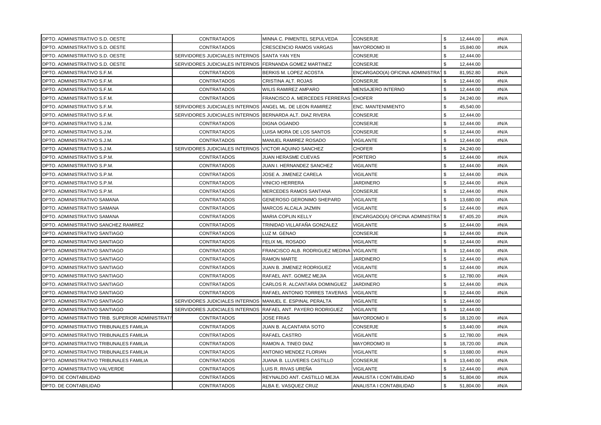| <b>DPTO. ADMINISTRATIVO S.D. OESTE</b>                   | <b>CONTRATADOS</b>                                          | MINNA C. PIMENTEL SEPULVEDA               | CONSERJE                                        | \$<br>12,444.00 | #N/A |
|----------------------------------------------------------|-------------------------------------------------------------|-------------------------------------------|-------------------------------------------------|-----------------|------|
| <b>DPTO. ADMINISTRATIVO S.D. OESTE</b>                   | <b>CONTRATADOS</b>                                          | <b>CRESCENCIO RAMOS VARGAS</b>            | <b>MAYORDOMO III</b>                            | \$<br>15,840.00 | #N/A |
| <b>IDPTO, ADMINISTRATIVO S.D. OESTE</b>                  | SERVIDORES JUDICIALES INTERNOS ISANTA YAN YEN               |                                           | <b>CONSERJE</b>                                 | \$<br>12,444.00 |      |
| <b>IDPTO, ADMINISTRATIVO S.D. OESTE</b>                  | SERVIDORES JUDICIALES INTERNOS FERNANDA GOMEZ MARTINEZ      |                                           | CONSERJE                                        | \$<br>12,444.00 |      |
| DPTO. ADMINISTRATIVO S.F.M.                              | <b>CONTRATADOS</b>                                          | BERKIS M. LOPEZ ACOSTA                    | ENCARGADO(A) OFICINA ADMINISTRA <sup>1</sup> \$ | 81,952.80       | #N/A |
| <b>IDPTO. ADMINISTRATIVO S.F.M.</b>                      | <b>CONTRATADOS</b>                                          | CRISTINA ALT. ROJAS                       | CONSERJE                                        | \$<br>12,444.00 | #N/A |
| IDPTO. ADMINISTRATIVO S.F.M.                             | <b>CONTRATADOS</b>                                          | WILIS RAMIREZ AMPARO                      | <b>MENSAJERO INTERNO</b>                        | \$<br>12,444.00 | #N/A |
| <b>IDPTO. ADMINISTRATIVO S.F.M.</b>                      | <b>CONTRATADOS</b>                                          | FRANCISCO A. MERCEDES FERRERAS CHOFER     |                                                 | \$<br>24,240.00 | #N/A |
| <b>IDPTO. ADMINISTRATIVO S.F.M.</b>                      | SERVIDORES JUDICIALES INTERNOS ANGEL ML. DE LEON RAMIREZ    |                                           | <b>ENC. MANTENIMIENTO</b>                       | \$<br>45,540.00 |      |
| DPTO. ADMINISTRATIVO S.F.M.                              | SERVIDORES JUDICIALES INTERNOS BERNARDA ALT. DIAZ RIVERA    |                                           | <b>CONSERJE</b>                                 | \$<br>12,444.00 |      |
| <b>IDPTO. ADMINISTRATIVO S.J.M.</b>                      | <b>CONTRATADOS</b>                                          | DIGNA OGANDO                              | CONSERJE                                        | \$<br>12,444.00 | #N/A |
| IDPTO. ADMINISTRATIVO S.J.M.                             | <b>CONTRATADOS</b>                                          | UISA MORA DE LOS SANTOS.                  | CONSERJE                                        | \$<br>12,444.00 | #N/A |
| <b>IDPTO. ADMINISTRATIVO S.J.M.</b>                      | <b>CONTRATADOS</b>                                          | MANUEL RAMIREZ ROSADO                     | VIGILANTE                                       | \$<br>12,444.00 | #N/A |
| <b>IDPTO. ADMINISTRATIVO S.J.M.</b>                      | SERVIDORES JUDICIALES INTERNOS IVICTOR AQUINO SANCHEZ       |                                           | <b>CHOFER</b>                                   | \$<br>24,240.00 |      |
| <b>IDPTO. ADMINISTRATIVO S.P.M.</b>                      | <b>CONTRATADOS</b>                                          | JUAN HERASME CUEVAS                       | PORTERO                                         | \$<br>12,444.00 | #N/A |
| <b>IDPTO. ADMINISTRATIVO S.P.M.</b>                      | <b>CONTRATADOS</b>                                          | JUAN I. HERNANDEZ SANCHEZ                 | <b>VIGILANTE</b>                                | \$<br>12,444.00 | #N/A |
| <b>IDPTO. ADMINISTRATIVO S.P.M.</b>                      | <b>CONTRATADOS</b>                                          | JOSE A. JIMENEZ CARELA                    | <b>VIGILANTE</b>                                | \$<br>12,444.00 | #N/A |
| <b>IDPTO. ADMINISTRATIVO S.P.M.</b>                      | <b>CONTRATADOS</b>                                          | VINICIO HERRERA                           | <b>JARDINERO</b>                                | \$<br>12,444.00 | #N/A |
| DPTO. ADMINISTRATIVO S.P.M.                              | <b>CONTRATADOS</b>                                          | <b>MERCEDES RAMOS SANTANA</b>             | CONSERJE                                        | \$<br>12.444.00 | #N/A |
| <b>DPTO. ADMINISTRATIVO SAMANA</b>                       | <b>CONTRATADOS</b>                                          | <b>GENEROSO GERONIMO SHEPARD</b>          | <b>VIGILANTE</b>                                | \$<br>13,680.00 | #N/A |
| <b>DPTO. ADMINISTRATIVO SAMANA</b>                       | <b>CONTRATADOS</b>                                          | MARCOS ALCALA JAZMIN                      | <b>VIGILANTE</b>                                | 12,444.00       | #N/A |
| IDPTO. ADMINISTRATIVO SAMANA                             | <b>CONTRATADOS</b>                                          | MARIA COPLIN KELLY                        | ENCARGADO(A) OFICINA ADMINISTRA <sup>1</sup> \$ | 67,405.20       | #N/A |
| <b>IDPTO. ADMINISTRATIVO SANCHEZ RAMIREZ</b>             | <b>CONTRATADOS</b>                                          | TRINIDAD VILLAFAÑA GONZALEZ               | <b>VIGILANTE</b>                                | \$<br>12,444.00 | #N/A |
| <b>DPTO. ADMINISTRATIVO SANTIAGO</b>                     | <b>CONTRATADOS</b>                                          | LUZ M. GENAO                              | CONSERJE                                        | \$<br>12,444.00 | #N/A |
| <b>DPTO. ADMINISTRATIVO SANTIAGO</b>                     | <b>CONTRATADOS</b>                                          | FELIX ML. ROSADO                          | <b>VIGILANTE</b>                                | \$<br>12,444.00 | #N/A |
| <b>DPTO. ADMINISTRATIVO SANTIAGO</b>                     | <b>CONTRATADOS</b>                                          | FRANCISCO ALB. RODRIGUEZ MEDINA VIGILANTE |                                                 | \$<br>12,444.00 | #N/A |
| <b>DPTO. ADMINISTRATIVO SANTIAGO</b>                     | <b>CONTRATADOS</b>                                          | RAMON MARTE                               | JARDINERO                                       | \$<br>12,444.00 | #N/A |
| <b>IDPTO, ADMINISTRATIVO SANTIAGO</b>                    | <b>CONTRATADOS</b>                                          | JUAN B. JIMENEZ RODRIGUEZ                 | <b>VIGILANTE</b>                                | \$<br>12,444.00 | #N/A |
| <b>DPTO. ADMINISTRATIVO SANTIAGO</b>                     | <b>CONTRATADOS</b>                                          | RAFAEL ANT. GOMEZ MEJIA                   | <b>VIGILANTE</b>                                | \$<br>12,780.00 | #N/A |
| <b>DPTO. ADMINISTRATIVO SANTIAGO</b>                     | <b>CONTRATADOS</b>                                          | CARLOS R. ALCANTARA DOMINGUEZ             | <b>JARDINERO</b>                                | \$<br>12,444.00 | #N/A |
| <b>DPTO. ADMINISTRATIVO SANTIAGO</b>                     | <b>CONTRATADOS</b>                                          | <b>RAFAEL ANTONIO TORRES TAVERAS</b>      | <b>VIGILANTE</b>                                | \$<br>12,444.00 | #N/A |
| <b>IDPTO, ADMINISTRATIVO SANTIAGO</b>                    | SERVIDORES JUDICIALES INTERNOS MANUEL E. ESPINAL PERALTA    |                                           | VIGILANTE                                       | \$<br>12,444.00 |      |
| <b>DPTO. ADMINISTRATIVO SANTIAGO</b>                     | SERVIDORES JUDICIALES INTERNOS RAFAEL ANT. PAYERO RODRIGUEZ |                                           | <b>VIGILANTE</b>                                | \$<br>12,444.00 |      |
| <b>IDPTO. ADMINISTRATIVO TRIB. SUPERIOR ADMINISTRATI</b> | <b>CONTRATADOS</b>                                          | JOSE FRIAS                                | <b>MAYORDOMO II</b>                             | \$<br>18,120.00 | #N/A |
| <b>IDPTO. ADMINISTRATIVO TRIBUNALES FAMILIA</b>          | <b>CONTRATADOS</b>                                          | JUAN B. ALCANTARA SOTO                    | CONSERJE                                        | \$<br>13,440.00 | #N/A |
| <b>IDPTO. ADMINISTRATIVO TRIBUNALES FAMILIA</b>          | <b>CONTRATADOS</b>                                          | RAFAEL CASTRO                             | <b>VIGILANTE</b>                                | \$<br>12,780.00 | #N/A |
| <b>IDPTO. ADMINISTRATIVO TRIBUNALES FAMILIA</b>          | <b>CONTRATADOS</b>                                          | RAMON A. TINEO DIAZ                       | <b>MAYORDOMO III</b>                            | \$<br>18,720.00 | #N/A |
| IDPTO. ADMINISTRATIVO TRIBUNALES FAMILIA                 | <b>CONTRATADOS</b>                                          | ANTONIO MENDEZ FLORIAN                    | VIGILANTE                                       | \$<br>13,680.00 | #N/A |
| IDPTO. ADMINISTRATIVO TRIBUNALES FAMILIA                 | <b>CONTRATADOS</b>                                          | JUANA B. LLUVERES CASTILLO                | CONSERJE                                        | \$<br>13,440.00 | #N/A |
| <b>IDPTO. ADMINISTRATIVO VALVERDE</b>                    | <b>CONTRATADOS</b>                                          | LUIS R. RIVAS UREÑA                       | VIGILANTE                                       | \$<br>12,444.00 | #N/A |
| <b>DPTO. DE CONTABILIDAD</b>                             | <b>CONTRATADOS</b>                                          | REYNALDO ANT. CASTILLO MEJIA              | ANALISTA I CONTABILIDAD                         | \$<br>51,804.00 | #N/A |
| <b>DPTO. DE CONTABILIDAD</b>                             | <b>CONTRATADOS</b>                                          | ALBA E. VASQUEZ CRUZ                      | ANALISTA I CONTABILIDAD                         | \$<br>51,804.00 | #N/A |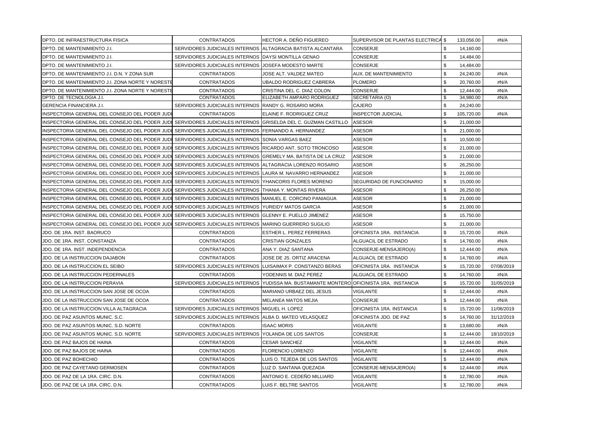| DPTO. DE INFRAESTRUCTURA FISICA                                                                                | <b>CONTRATADOS</b>                                          | HECTOR A. DEÑO FIGUEREO                                                                 | SUPERVISOR DE PLANTAS ELECTRICA \$ |            | 133,056.00 | #N/A       |
|----------------------------------------------------------------------------------------------------------------|-------------------------------------------------------------|-----------------------------------------------------------------------------------------|------------------------------------|------------|------------|------------|
| DPTO. DE MANTENIMIENTO J.I.                                                                                    | SERVIDORES JUDICIALES INTERNOS ALTAGRACIA BATISTA ALCANTARA |                                                                                         | <b>CONSERJE</b>                    | -\$        | 14,160.00  |            |
| DPTO. DE MANTENIMIENTO J.I.                                                                                    | SERVIDORES JUDICIALES INTERNOS IDAYSI MONTILLA GENAO        |                                                                                         | CONSERJE                           | \$         | 14,484.00  |            |
| <b>IDPTO. DE MANTENIMIENTO J.I.</b>                                                                            | SERVIDORES JUDICIALES INTERNOS JOSEFA MODESTO MARTE         |                                                                                         | <b>CONSERJE</b>                    | \$         | 14,484.00  |            |
| DPTO. DE MANTENIMIENTO J.I. D.N. Y ZONA SUR                                                                    | <b>CONTRATADOS</b>                                          | JOSE ALT. VALDEZ MATEO                                                                  | AUX. DE MANTENIMIENTO              | \$         | 24,240.00  | #N/A       |
| IDPTO. DE MANTENIMIENTO J.I. ZONA NORTE Y NORESTE                                                              | <b>CONTRATADOS</b>                                          | UBALDO RODRIGUEZ CABRERA                                                                | <b>PLOMERO</b>                     | \$         | 20,760.00  | #N/A       |
| DPTO. DE MANTENIMIENTO J.I. ZONA NORTE Y NORESTE                                                               | <b>CONTRATADOS</b>                                          | CRISTINA DEL C. DIAZ COLON                                                              | <b>CONSERJE</b>                    | \$         | 12,444.00  | #N/A       |
| DPTO. DE TECNOLOGIA J.I.                                                                                       | CONTRATADOS                                                 | ELIZABETH AMPARO RODRIGUEZ                                                              | SECRETARIA (O)                     | \$         | 34,980.00  | #N/A       |
| <b>GERENCIA FINANCIERA J.I.</b>                                                                                | SERVIDORES JUDICIALES INTERNOS RANDY G. ROSARIO MORA        |                                                                                         | <b>CAJERO</b>                      | \$         | 24,240.00  |            |
| INSPECTORIA GENERAL DEL CONSEJO DEL PODER JUDI                                                                 | <b>CONTRATADOS</b>                                          | ELAINE F. RODRIGUEZ CRUZ                                                                | <b>INSPECTOR JUDICIAL</b>          | \$         | 105,720.00 | #N/A       |
| INSPECTORIA GENERAL DEL CONSEJO DEL PODER JUDI SERVIDORES JUDICIALES INTERNOS (GRISELDA DEL C. GUZMAN CASTILLO |                                                             |                                                                                         | <b>ASESOR</b>                      | \$         | 21,000.00  |            |
| INSPECTORIA GENERAL DEL CONSEJO DEL PODER JUDI SERVIDORES JUDICIALES INTERNOS [FERNANDO A. HERNANDEZ           |                                                             |                                                                                         | <b>ASESOR</b>                      | \$         | 21,000.00  |            |
| INSPECTORIA GENERAL DEL CONSEJO DEL PODER JUDI SERVIDORES JUDICIALES INTERNOS ISONIA VARGAS BAEZ               |                                                             |                                                                                         | <b>ASESOR</b>                      | \$         | 10,500.00  |            |
| INSPECTORIA GENERAL DEL CONSEJO DEL PODER JUDI SERVIDORES JUDICIALES INTERNOS (RICARDO ANT. SOTO TRONCOSO      |                                                             |                                                                                         | <b>ASESOR</b>                      | \$         | 21,000.00  |            |
| IINSPECTORIA GENERAL DEL CONSEJO DEL PODER JUDI SERVIDORES JUDICIALES INTERNOS (GREMELY MA. BATISTA DE LA CRUZ |                                                             |                                                                                         | <b>ASESOR</b>                      | \$         | 21,000.00  |            |
| IINSPECTORIA GENERAL DEL CONSEJO DEL PODER JUDI SERVIDORES JUDICIALES INTERNOS IALTAGRACIA LORENZO ROSARIO     |                                                             |                                                                                         | <b>ASESOR</b>                      | \$         | 26,250.00  |            |
| IINSPECTORIA GENERAL DEL CONSEJO DEL PODER JUDI SERVIDORES JUDICIALES INTERNOS LLAURA M. NAVARRO HERNANDEZ     |                                                             |                                                                                         | <b>ASESOR</b>                      | \$         | 21,000.00  |            |
| INSPECTORIA GENERAL DEL CONSEJO DEL PODER JUDI SERVIDORES JUDICIALES INTERNOS  YHANCORIS FLORES MORENO         |                                                             |                                                                                         | <b>SEGURIDAD DE FUNCIONARIO</b>    | \$         | 15,000.00  |            |
| IINSPECTORIA GENERAL DEL CONSEJO DEL PODER JUDI SERVIDORES JUDICIALES INTERNOS  THANIA Y. MONTAS RIVERA        |                                                             |                                                                                         | <b>ASESOR</b>                      | \$         | 26,250.00  |            |
| IINSPECTORIA GENERAL DEL CONSEJO DEL PODER JUDI SERVIDORES JUDICIALES INTERNOS IMANUEL E. CORCINO PANIAGUA     |                                                             |                                                                                         | ASESOR                             | \$         | 21.000.00  |            |
| INSPECTORIA GENERAL DEL CONSEJO DEL PODER JUDI SERVIDORES JUDICIALES INTERNOS IYUREIDY MATOS GARCIA            |                                                             |                                                                                         | <b>ASESOR</b>                      | \$         | 21,000.00  |            |
| INSPECTORIA GENERAL DEL CONSEJO DEL PODER JUDI SERVIDORES JUDICIALES INTERNOS (GLENNY E. PUELLO JIMENEZ        |                                                             |                                                                                         | <b>ASESOR</b>                      | \$         | 15,750.00  |            |
| IINSPECTORIA GENERAL DEL CONSEJO DEL PODER JUDI SERVIDORES JUDICIALES INTERNOS IMARINO GUERRERO SUGILIO        |                                                             |                                                                                         | <b>ASESOR</b>                      | \$         | 21,000.00  |            |
| JDO. DE 1RA. INST. BAORUCO                                                                                     | <b>CONTRATADOS</b>                                          | ESTHER L. PEREZ FERRERAS                                                                | OFICINISTA 1RA. INSTANCIA          | \$         | 15,720.00  | #N/A       |
| JDO. DE 1RA. INST. CONSTANZA                                                                                   | <b>CONTRATADOS</b>                                          | <b>CRISTIAN GONZALES</b>                                                                | ALGUACIL DE ESTRADO                | \$         | 14,760.00  | #N/A       |
| JDO. DE 1RA. INST. INDEPENDENCIA                                                                               | <b>CONTRATADOS</b>                                          | ANA Y. DIAZ SANTANA                                                                     | CONSERJE-MENSAJERO(A)              | \$         | 12,444.00  | #N/A       |
| JDO. DE LA INSTRUCCION DAJABON                                                                                 | <b>CONTRATADOS</b>                                          | JOSE DE JS. ORTIZ ARACENA                                                               | ALGUACIL DE ESTRADO                | \$         | 14,760.00  | #N/A       |
| JDO. DE LA INSTRUCCION EL SEIBO                                                                                | SERVIDORES JUDICIALES INTERNOS LUISAIMAX P. CONSTANZO BERAS |                                                                                         | OFICINISTA 1RA. INSTANCIA          | \$         | 15,720.00  | 07/06/2019 |
| JDO. DE LA INSTRUCCION PEDERNALES                                                                              | <b>CONTRATADOS</b>                                          | YODENNIS M. DIAZ PEREZ                                                                  | ALGUACIL DE ESTRADO                | \$         | 14,760.00  | #N/A       |
| JDO. DE LA INSTRUCCION PERAVIA                                                                                 |                                                             | SERVIDORES JUDICIALES INTERNOS YUDISSA MA. BUSTAMANTE MONTERO OFICINISTA 1RA. INSTANCIA |                                    | \$         | 15,720.00  | 31/05/2019 |
| JDO. DE LA INSTRUCCION SAN JOSE DE OCOA                                                                        | <b>CONTRATADOS</b>                                          | MARIANO URBAEZ DEL JESUS                                                                | <b>VIGILANTE</b>                   | \$         | 12,444.00  | #N/A       |
| JDO. DE LA INSTRUCCION SAN JOSE DE OCOA                                                                        | <b>CONTRATADOS</b>                                          | <b>MELANEA MATOS MEJIA</b>                                                              | <b>CONSERJE</b>                    | $\sqrt{3}$ | 12,444.00  | #N/A       |
| JDO. DE LA INSTRUCCION VILLA ALTAGRACIA                                                                        | SERVIDORES JUDICIALES INTERNOS MIGUEL H. LOPEZ              |                                                                                         | OFICINISTA 1RA. INSTANCIA          | \$         | 15,720.00  | 11/06/2019 |
| JDO. DE PAZ ASUNTOS MUNIC. S.C.                                                                                | SERVIDORES JUDICIALES INTERNOS ALBA D. MATEO VELASQUEZ      |                                                                                         | OFICINISTA JDO. DE PAZ             | \$         | 14,760.00  | 31/12/2019 |
| JDO. DE PAZ ASUNTOS MUNIC. S.D. NORTE                                                                          | <b>CONTRATADOS</b>                                          | <b>ISAAC MORIS</b>                                                                      | <b>VIGILANTE</b>                   | \$         | 13,680.00  | #N/A       |
| JDO. DE PAZ ASUNTOS MUNIC. S.D. NORTE                                                                          | SERVIDORES JUDICIALES INTERNOS YOLANDA DE LOS SANTOS        |                                                                                         | <b>CONSERJE</b>                    | \$         | 12,444.00  | 18/10/2019 |
| JDO. DE PAZ BAJOS DE HAINA                                                                                     | <b>CONTRATADOS</b>                                          | <b>CESAR SANCHEZ</b>                                                                    | <b>VIGILANTE</b>                   | \$         | 12,444.00  | #N/A       |
| JDO. DE PAZ BAJOS DE HAINA                                                                                     | <b>CONTRATADOS</b>                                          | <b>FLORENCIO LORENZO</b>                                                                | <b>VIGILANTE</b>                   | \$         | 12,444.00  | #N/A       |
| JDO. DE PAZ BOHECHIO                                                                                           | <b>CONTRATADOS</b>                                          | LUIS O. TEJEDA DE LOS SANTOS                                                            | <b>VIGILANTE</b>                   | \$         | 12,444.00  | #N/A       |
| JDO. DE PAZ CAYETANO GERMOSEN                                                                                  | <b>CONTRATADOS</b>                                          | LUZ D. SANTANA QUEZADA                                                                  | CONSERJE-MENSAJERO(A)              | \$         | 12,444.00  | #N/A       |
| JDO. DE PAZ DE LA 1RA. CIRC. D.N.                                                                              | <b>CONTRATADOS</b>                                          | ANTONIO E. CEDEÑO MILLIARD                                                              | <b>VIGILANTE</b>                   | \$         | 12,780.00  | #N/A       |
| JDO. DE PAZ DE LA 1RA. CIRC. D.N.                                                                              | <b>CONTRATADOS</b>                                          | LUIS F. BELTRE SANTOS                                                                   | <b>VIGILANTE</b>                   | \$         | 12,780.00  | #N/A       |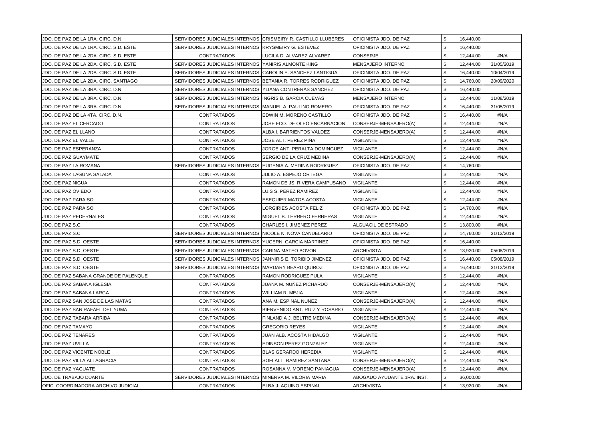| JDO. DE PAZ DE LA 1RA. CIRC. D.N.      | SERVIDORES JUDICIALES INTERNOS CRISMEIRY R. CASTILLO LLUBERES |                                | OFICINISTA JDO. DE PAZ      | \$<br>16,440.00 |            |
|----------------------------------------|---------------------------------------------------------------|--------------------------------|-----------------------------|-----------------|------------|
| JDO. DE PAZ DE LA 1RA. CIRC. S.D. ESTE | SERVIDORES JUDICIALES INTERNOS KRYSMEIRY G. ESTEVEZ           |                                | OFICINISTA JDO. DE PAZ      | \$<br>16,440.00 |            |
| JDO. DE PAZ DE LA 2DA. CIRC. S.D. ESTE | <b>CONTRATADOS</b>                                            | LUCILA D. ALVAREZ ALVAREZ      | CONSERJE                    | \$<br>12,444.00 | #N/A       |
| JDO. DE PAZ DE LA 2DA. CIRC. S.D. ESTE | SERVIDORES JUDICIALES INTERNOS YANIRIS ALMONTE KING           |                                | MENSAJERO INTERNO           | \$<br>12,444.00 | 31/05/2019 |
| JDO. DE PAZ DE LA 2DA. CIRC. S.D. ESTE | SERVIDORES JUDICIALES INTERNOS CAROLIN E. SANCHEZ LANTIGUA    |                                | OFICINISTA JDO. DE PAZ      | \$<br>16,440.00 | 10/04/2019 |
| JDO. DE PAZ DE LA 2DA. CIRC. SANTIAGO  | SERVIDORES JUDICIALES INTERNOS BETANIA R. TORRES RODRIGUEZ    |                                | OFICINISTA JDO. DE PAZ      | \$<br>14,760.00 | 20/09/2020 |
| JDO. DE PAZ DE LA 3RA. CIRC. D.N.      | SERVIDORES JUDICIALES INTERNOS YLIANA CONTRERAS SANCHEZ       |                                | OFICINISTA JDO. DE PAZ      | \$<br>16,440.00 |            |
| JDO. DE PAZ DE LA 3RA. CIRC. D.N.      | SERVIDORES JUDICIALES INTERNOS IINGRIS B. GARCIA CUEVAS       |                                | <b>MENSAJERO INTERNO</b>    | \$<br>12,444.00 | 11/08/2019 |
| JDO. DE PAZ DE LA 3RA. CIRC. D.N.      | SERVIDORES JUDICIALES INTERNOS MANUEL A. PAULINO ROMERO       |                                | OFICINISTA JDO. DE PAZ      | \$<br>16,440.00 | 31/05/2019 |
| JDO. DE PAZ DE LA 4TA. CIRC. D.N.      | <b>CONTRATADOS</b>                                            | EDWIN M. MORENO CASTILLO       | OFICINISTA JDO. DE PAZ      | \$<br>16,440.00 | #N/A       |
| JDO. DE PAZ EL CERCADO                 | <b>CONTRATADOS</b>                                            | JOSE FCO. DE OLEO ENCARNACION  | CONSERJE-MENSAJERO(A)       | \$<br>12,444.00 | #N/A       |
| JDO. DE PAZ EL LLANO                   | <b>CONTRATADOS</b>                                            | ALBA I. BARRIENTOS VALDEZ      | CONSERJE-MENSAJERO(A)       | \$<br>12,444.00 | #N/A       |
| JDO. DE PAZ EL VALLE                   | <b>CONTRATADOS</b>                                            | JOSE ALT. PEREZ PIÑA           | <b>VIGILANTE</b>            | \$<br>12,444.00 | #N/A       |
| <b>JDO. DE PAZ ESPERANZA</b>           | <b>CONTRATADOS</b>                                            | JORGE ANT. PERALTA DOMINGUEZ   | VIGILANTE                   | \$<br>12,444.00 | #N/A       |
| <b>JDO. DE PAZ GUAYMATE</b>            | <b>CONTRATADOS</b>                                            | SERGIO DE LA CRUZ MEDINA       | CONSERJE-MENSAJERO(A)       | \$<br>12,444.00 | #N/A       |
| JDO. DE PAZ LA ROMANA                  | SERVIDORES JUDICIALES INTERNOS EUGENIA A. MEDINA RODRIGUEZ    |                                | OFICINISTA JDO. DE PAZ      | \$<br>14,760.00 |            |
| JDO. DE PAZ LAGUNA SALADA              | <b>CONTRATADOS</b>                                            | JULIO A. ESPEJO ORTEGA         | VIGILANTE                   | \$<br>12,444.00 | #N/A       |
| <b>JDO. DE PAZ NIGUA</b>               | <b>CONTRATADOS</b>                                            | RAMON DE JS. RIVERA CAMPUSANO  | <b>VIGILANTE</b>            | \$<br>12,444.00 | #N/A       |
| JDO. DE PAZ OVIEDO                     | <b>CONTRATADOS</b>                                            | LUIS S. PEREZ RAMIREZ          | VIGILANTE                   | \$<br>12,444.00 | #N/A       |
| <b>JDO. DE PAZ PARAISO</b>             | <b>CONTRATADOS</b>                                            | <b>ESEQUIER MATOS ACOSTA</b>   | VIGILANTE                   | \$<br>12,444.00 | #N/A       |
| <b>JDO. DE PAZ PARAISO</b>             | <b>CONTRATADOS</b>                                            | LORGIRIES ACOSTA FELIZ         | OFICINISTA JDO. DE PAZ      | \$<br>14,760.00 | #N/A       |
| JDO. DE PAZ PEDERNALES                 | <b>CONTRATADOS</b>                                            | MIGUEL B. TERRERO FERRERAS     | VIGILANTE                   | \$<br>12,444.00 | #N/A       |
| JDO. DE PAZ S.C.                       | <b>CONTRATADOS</b>                                            | CHARLES I. JIMENEZ PEREZ       | ALGUACIL DE ESTRADO         | \$<br>13,800.00 | #N/A       |
| JDO. DE PAZ S.C.                       | SERVIDORES JUDICIALES INTERNOS INICOLE N. NOVA CANDELARIO     |                                | OFICINISTA JDO. DE PAZ      | \$<br>14,760.00 | 31/12/2019 |
| JDO. DE PAZ S.D. OESTE                 | SERVIDORES JUDICIALES INTERNOS YUGERNI GARCIA MARTINEZ        |                                | OFICINISTA JDO. DE PAZ      | \$<br>16,440.00 |            |
| JDO. DE PAZ S.D. OESTE                 | SERVIDORES JUDICIALES INTERNOS CARINA MATEO BOVON             |                                | <b>ARCHIVISTA</b>           | \$<br>13,920.00 | 05/08/2019 |
| JDO. DE PAZ S.D. OESTE                 | SERVIDORES JUDICIALES INTERNOS JJANNIRIS E. TORIBIO JIMENEZ   |                                | OFICINISTA JDO. DE PAZ      | \$<br>16,440.00 | 05/08/2019 |
| JDO. DE PAZ S.D. OESTE                 | SERVIDORES JUDICIALES INTERNOS MARDARY BEARD QUIROZ           |                                | OFICINISTA JDO. DE PAZ      | \$<br>16,440.00 | 31/12/2019 |
| JDO. DE PAZ SABANA GRANDE DE PALENQUE  | <b>CONTRATADOS</b>                                            | <b>RAMON RODRIGUEZ PULA</b>    | VIGILANTE                   | \$<br>12,444.00 | #N/A       |
| JDO. DE PAZ SABANA IGLESIA             | <b>CONTRATADOS</b>                                            | JUANA M. NUÑEZ PICHARDO        | CONSERJE-MENSAJERO(A)       | \$<br>12,444.00 | #N/A       |
| JDO. DE PAZ SABANA LARGA               | <b>CONTRATADOS</b>                                            | WILLIAM R. MEJIA               | <b>VIGILANTE</b>            | \$<br>12,444.00 | #N/A       |
| JDO. DE PAZ SAN JOSE DE LAS MATAS      | <b>CONTRATADOS</b>                                            | ANA M. ESPINAL NUÑEZ           | CONSERJE-MENSAJERO(A)       | \$<br>12,444.00 | #N/A       |
| JDO. DE PAZ SAN RAFAEL DEL YUMA        | <b>CONTRATADOS</b>                                            | BIENVENIDO ANT. RUIZ Y ROSARIO | VIGILANTE                   | \$<br>12,444.00 | #N/A       |
| JDO. DE PAZ TABARA ARRIBA              | <b>CONTRATADOS</b>                                            | FINLANDIA J. BELTRE MEDINA     | CONSERJE-MENSAJERO(A)       | \$<br>12,444.00 | #N/A       |
| JDO. DE PAZ TAMAYO                     | <b>CONTRATADOS</b>                                            | <b>GREGORIO REYES</b>          | <b>VIGILANTE</b>            | \$<br>12,444.00 | #N/A       |
| JDO. DE PAZ TENARES                    | <b>CONTRATADOS</b>                                            | JUAN ALB. ACOSTA HIDALGO       | <b>VIGILANTE</b>            | \$<br>12,444.00 | #N/A       |
| JDO. DE PAZ UVILLA                     | <b>CONTRATADOS</b>                                            | <b>EDINSON PEREZ GONZALEZ</b>  | <b>VIGILANTE</b>            | \$<br>12,444.00 | #N/A       |
| JDO. DE PAZ VICENTE NOBLE              | <b>CONTRATADOS</b>                                            | BLAS GERARDO HEREDIA           | VIGILANTE                   | \$<br>12,444.00 | #N/A       |
| <b>JDO. DE PAZ VILLA ALTAGRACIA</b>    | <b>CONTRATADOS</b>                                            | SOFI ALT. RAMIREZ SANTANA      | CONSERJE-MENSAJERO(A)       | \$<br>12,444.00 | #N/A       |
| JDO. DE PAZ YAGUATE                    | <b>CONTRATADOS</b>                                            | IROSANNA V. MORENO PANIAGUA    | CONSERJE-MENSAJERO(A)       | \$<br>12,444.00 | #N/A       |
| JDO. DE TRABAJO DUARTE                 | SERVIDORES JUDICIALES INTERNOS MINERVA M. VILORIA MARIA       |                                | ABOGADO AYUDANTE 1RA. INST. | \$<br>36,000.00 |            |
| OFIC. COORDINADORA ARCHIVO JUDICIAL    | <b>CONTRATADOS</b>                                            | ELBA J. AQUINO ESPINAL         | <b>ARCHIVISTA</b>           | \$<br>13,920.00 | #N/A       |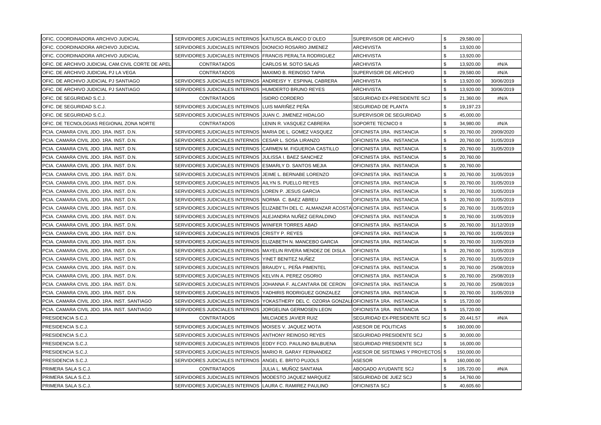| OFIC. COORDINADORA ARCHIVO JUDICIAL                | SERVIDORES JUDICIALES INTERNOS KATIUSCA BLANCO D'OLEO         |                                                                                            | SUPERVISOR DE ARCHIVO             | \$<br>29,580.00  |            |
|----------------------------------------------------|---------------------------------------------------------------|--------------------------------------------------------------------------------------------|-----------------------------------|------------------|------------|
| OFIC. COORDINADORA ARCHIVO JUDICIAL                | SERVIDORES JUDICIALES INTERNOS DIONICIO ROSARIO JIMENEZ       |                                                                                            | <b>ARCHIVISTA</b>                 | \$<br>13,920.00  |            |
| IOFIC. COORDINADORA ARCHIVO JUDICIAL               | SERVIDORES JUDICIALES INTERNOS   FRANCIS PERALTA RODRIGUEZ    |                                                                                            | <b>ARCHIVISTA</b>                 | \$<br>13,920.00  |            |
| IOFIC. DE ARCHIVO JUDICIAL CAM.CIVIL CORTE DE APEL | <b>CONTRATADOS</b>                                            | CARLOS M. SOTO SALAS                                                                       | <b>ARCHIVISTA</b>                 | \$<br>13,920.00  | #N/A       |
| OFIC. DE ARCHIVO JUDICIAL PJ LA VEGA               | <b>CONTRATADOS</b>                                            | <b>MAXIMO B. REINOSO TAPIA</b>                                                             | SUPERVISOR DE ARCHIVO             | \$<br>29,580.00  | #N/A       |
| OFIC. DE ARCHIVO JUDICIAL PJ SANTIAGO              | SERVIDORES JUDICIALES INTERNOS ANDREISY Y. ESPINAL CABRERA    |                                                                                            | <b>ARCHIVISTA</b>                 | \$<br>13,920.00  | 30/06/2019 |
| OFIC. DE ARCHIVO JUDICIAL PJ SANTIAGO              | SERVIDORES JUDICIALES INTERNOS HUMDERTO BRUNO REYES           |                                                                                            | <b>ARCHIVISTA</b>                 | \$<br>13,920.00  | 30/06/2019 |
| OFIC. DE SEGURIDAD S.C.J.                          | <b>CONTRATADOS</b>                                            | IISIDRO CORDERO                                                                            | SEGURIDAD EX-PRESIDENTE SCJ       | \$<br>21,360.00  | #N/A       |
| OFIC. DE SEGURIDAD S.C.J.                          | SERVIDORES JUDICIALES INTERNOS LUIS MARIÑEZ PEÑA              |                                                                                            | SEGURIDAD DE PLANTA               | \$<br>19,197.23  |            |
| IOFIC. DE SEGURIDAD S.C.J.                         | SERVIDORES JUDICIALES INTERNOS IJUAN C. JIMENEZ HIDALGO       |                                                                                            | SUPERVISOR DE SEGURIDAD           | \$<br>45,000.00  |            |
| <b> OFIC. DE TECNOLOGIAS REGIONAL ZONA NORTE</b>   | <b>CONTRATADOS</b>                                            | LENIN R. VASQUEZ CABRERA                                                                   | SOPORTE TECNICO II                | \$<br>34,980.00  | #N/A       |
| IPCIA. CAMARA CIVIL JDO. 1RA. INST. D.N.           | SERVIDORES JUDICIALES INTERNOS MARIA DE L. GOMEZ VASQUEZ      |                                                                                            | OFICINISTA 1RA. INSTANCIA         | \$<br>20,760.00  | 20/09/2020 |
| IPCIA. CAMARA CIVIL JDO. 1RA. INST. D.N.           | SERVIDORES JUDICIALES INTERNOS ICESAR L. SOSA LIRANZO         |                                                                                            | OFICINISTA 1RA. INSTANCIA         | \$<br>20,760.00  | 31/05/2019 |
| IPCIA. CAMARA CIVIL JDO. 1RA. INST. D.N.           | SERVIDORES JUDICIALES INTERNOS CARMEN M. FIGUEROA CASTILLO    |                                                                                            | OFICINISTA 1RA. INSTANCIA         | \$<br>20.760.00  | 31/05/2019 |
| PCIA. CAMARA CIVIL JDO. 1RA. INST. D.N.            | SERVIDORES JUDICIALES INTERNOS JJULISSA I. BAEZ SANCHEZ       |                                                                                            | OFICINISTA 1RA. INSTANCIA         | \$<br>20,760.00  |            |
| PCIA. CAMARA CIVIL JDO. 1RA. INST. D.N.            | SERVIDORES JUDICIALES INTERNOS (ESMARLY D. SANTOS MEJIA       |                                                                                            | OFICINISTA 1RA. INSTANCIA         | \$<br>20,760.00  |            |
| PCIA. CAMARA CIVIL JDO. 1RA. INST. D.N.            | SERVIDORES JUDICIALES INTERNOS JJEIME L. BERNABE LORENZO      |                                                                                            | OFICINISTA 1RA. INSTANCIA         | \$<br>20,760.00  | 31/05/2019 |
| PCIA. CAMARA CIVIL JDO. 1RA. INST. D.N.            | SERVIDORES JUDICIALES INTERNOS (AILYN S. PUELLO REYES         |                                                                                            | OFICINISTA 1RA. INSTANCIA         | \$<br>20,760.00  | 31/05/2019 |
| PCIA, CAMARA CIVIL JDO, 1RA, INST, D.N.            | SERVIDORES JUDICIALES INTERNOS ILOREN P. JESUS GARCIA         |                                                                                            | OFICINISTA 1RA. INSTANCIA         | \$<br>20,760.00  | 31/05/2019 |
| PCIA. CAMARA CIVIL JDO. 1RA. INST. D.N.            | SERVIDORES JUDICIALES INTERNOS INORMA C. BAEZ ABREU           |                                                                                            | OFICINISTA 1RA. INSTANCIA         | \$<br>20,760.00  | 31/05/2019 |
| PCIA. CAMARA CIVIL JDO. 1RA. INST. D.N.            |                                                               | SERVIDORES JUDICIALES INTERNOS (ELIZABETH DEL C. ALMANZAR ACOSTA OFICINISTA 1RA. INSTANCIA |                                   | \$<br>20,760.00  | 31/05/2019 |
| PCIA. CAMARA CIVIL JDO. 1RA. INST. D.N.            | SERVIDORES JUDICIALES INTERNOS (ALEJANDRA NUNEZ GERALDINO     |                                                                                            | OFICINISTA 1RA. INSTANCIA         | \$<br>20,760.00  | 31/05/2019 |
| PCIA. CAMARA CIVIL JDO. 1RA. INST. D.N.            | SERVIDORES JUDICIALES INTERNOS WINIFER TORRES ABAD            |                                                                                            | OFICINISTA 1RA. INSTANCIA         | \$<br>20,760.00  | 31/12/2019 |
| PCIA. CAMARA CIVIL JDO. 1RA. INST. D.N.            | SERVIDORES JUDICIALES INTERNOS CRISTY P. REYES                |                                                                                            | OFICINISTA 1RA. INSTANCIA         | \$<br>20,760.00  | 31/05/2019 |
| PCIA. CAMARA CIVIL JDO. 1RA. INST. D.N.            | SERVIDORES JUDICIALES INTERNOS ELIZABETH N. MANCEBO GARCIA    |                                                                                            | OFICINISTA 1RA. INSTANCIA         | \$<br>20,760.00  | 31/05/2019 |
| PCIA. CAMARA CIVIL JDO. 1RA. INST. D.N.            | SERVIDORES JUDICIALES INTERNOS MAYELIN RIVERA MENDEZ DE DISLA |                                                                                            | <b>OFICINISTA</b>                 | \$<br>20,760.00  | 31/05/2019 |
| PCIA. CAMARA CIVIL JDO. 1RA. INST. D.N.            | SERVIDORES JUDICIALES INTERNOS YINET BENITEZ NUNEZ            |                                                                                            | OFICINISTA 1RA. INSTANCIA         | \$<br>20,760.00  | 31/05/2019 |
| PCIA. CAMARA CIVIL JDO. 1RA. INST. D.N.            | SERVIDORES JUDICIALES INTERNOS BRAUDY L. PEÑA PIMENTEL        |                                                                                            | OFICINISTA 1RA. INSTANCIA         | \$<br>20,760.00  | 25/08/2019 |
| PCIA. CAMARA CIVIL JDO. 1RA. INST. D.N.            | SERVIDORES JUDICIALES INTERNOS KELVIN A. PEREZ OSORIO         |                                                                                            | OFICINISTA 1RA. INSTANCIA         | \$<br>20,760.00  | 25/08/2019 |
| PCIA. CAMARA CIVIL JDO. 1RA. INST. D.N.            | SERVIDORES JUDICIALES INTERNOS JJOHANNA F. ALCANTARA DE CERON |                                                                                            | OFICINISTA 1RA. INSTANCIA         | \$<br>20,760.00  | 25/08/2019 |
| PCIA. CAMARA CIVIL JDO. 1RA. INST. D.N.            | SERVIDORES JUDICIALES INTERNOS YADHIRIS RODRIGUEZ GONZALEZ    |                                                                                            | OFICINISTA 1RA. INSTANCIA         | \$<br>20,760.00  | 31/05/2019 |
| PCIA. CAMARA CIVIL JDO. 1RA. INST. SANTIAGO        |                                                               | SERVIDORES JUDICIALES INTERNOS YOKASTHERY DEL C. OZORIA GONZALI OFICINISTA 1RA. INSTANCIA  |                                   | \$<br>15,720.00  |            |
| PCIA. CAMARA CIVIL JDO. 1RA. INST. SANTIAGO        | SERVIDORES JUDICIALES INTERNOS JJORGELINA GERMOSEN LEON       |                                                                                            | OFICINISTA 1RA. INSTANCIA         | \$<br>15,720.00  |            |
| PRESIDENCIA S.C.J.                                 | <b>CONTRATADOS</b>                                            | MILCIADES JAVIER RUIZ                                                                      | SEGURIDAD EX-PRESIDENTE SCJ       | \$<br>20,441.57  | #N/A       |
| PRESIDENCIA S.C.J.                                 | SERVIDORES JUDICIALES INTERNOS MOISES V. JAQUEZ MOTA          |                                                                                            | <b>ASESOR DE POLITICAS</b>        | \$<br>160,000.00 |            |
| PRESIDENCIA S.C.J.                                 | SERVIDORES JUDICIALES INTERNOS ANTHONY REINOSO REYES          |                                                                                            | SEGURIDAD PRESIDENTE SCJ          | \$<br>30,000.00  |            |
| PRESIDENCIA S.C.J.                                 | SERVIDORES JUDICIALES INTERNOS LEDDY FCO. PAULINO BALBUENA    |                                                                                            | SEGURIDAD PRESIDENTE SCJ          | \$<br>16,000.00  |            |
| PRESIDENCIA S.C.J.                                 | SERVIDORES JUDICIALES INTERNOS MARIO R. GARAY FERNANDEZ       |                                                                                            | ASESOR DE SISTEMAS Y PROYECTOS \$ | 150,000.00       |            |
| PRESIDENCIA S.C.J.                                 | SERVIDORES JUDICIALES INTERNOS ANGEL E. BRITO PUJOLS          |                                                                                            | ASESOR                            | \$<br>160,000.00 |            |
| PRIMERA SALA S.C.J.                                | <b>CONTRATADOS</b>                                            | JULIA L. MUÑOZ SANTANA                                                                     | ABOGADO AYUDANTE SCJ              | \$<br>105,720.00 | #N/A       |
| PRIMERA SALA S.C.J.                                | SERVIDORES JUDICIALES INTERNOS MODESTO JAQUEZ MARQUEZ         |                                                                                            | SEGURIDAD DE JUEZ SCJ             | \$<br>14,760.00  |            |
| PRIMERA SALA S.C.J.                                | SERVIDORES JUDICIALES INTERNOS LAURA C. RAMIREZ PAULINO       |                                                                                            | OFICINISTA SCJ                    | \$<br>40,605.60  |            |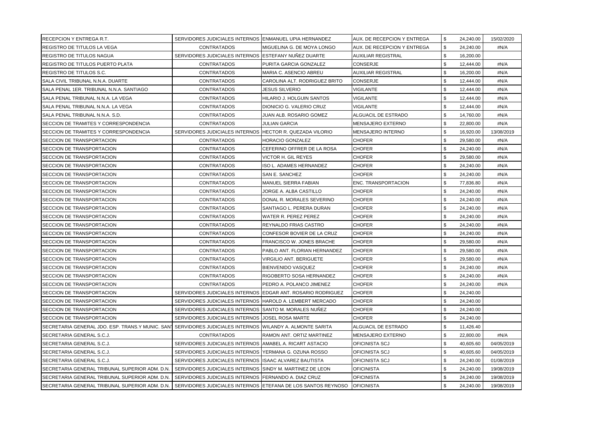| <b>RECEPCION Y ENTREGA R.T.</b>                  | SERVIDORES JUDICIALES INTERNOS IENMANUEL UPIA HERNANDEZ      |                                   | AUX. DE RECEPCION Y ENTREGA | \$<br>24,240.00 | 15/02/2020 |
|--------------------------------------------------|--------------------------------------------------------------|-----------------------------------|-----------------------------|-----------------|------------|
| REGISTRO DE TITULOS LA VEGA                      | <b>CONTRATADOS</b>                                           | IMIGUELINA G. DE MOYA LONGO       | AUX. DE RECEPCION Y ENTREGA | \$<br>24,240.00 | #N/A       |
| REGISTRO DE TITULOS NAGUA                        | SERVIDORES JUDICIALES INTERNOS ESTEFANY NUÑEZ DUARTE         |                                   | AUXILIAR REGISTRAL          | \$<br>16,200.00 |            |
| REGISTRO DE TITULOS PUERTO PLATA                 | <b>CONTRATADOS</b>                                           | PURITA GARCIA GONZALEZ            | <b>CONSERJE</b>             | \$<br>12,444.00 | #N/A       |
| REGISTRO DE TITULOS S.C.                         | <b>CONTRATADOS</b>                                           | <b>MARIA C. ASENCIO ABREU</b>     | <b>AUXILIAR REGISTRAL</b>   | \$<br>16,200.00 | #N/A       |
| SALA CIVIL TRIBUNAL N.N.A. DUARTE                | <b>CONTRATADOS</b>                                           | CAROLINA ALT. RODRIGUEZ BRITO     | CONSERJE                    | \$<br>12,444.00 | #N/A       |
| SALA PENAL 1ER. TRIBUNAL N.N.A. SANTIAGO         | <b>CONTRATADOS</b>                                           | JESUS SILVERIO                    | VIGILANTE                   | \$<br>12,444.00 | #N/A       |
| SALA PENAL TRIBUNAL N.N.A. LA VEGA               | <b>CONTRATADOS</b>                                           | HILARIO J. HOLGUIN SANTOS         | VIGILANTE                   | \$<br>12,444.00 | #N/A       |
| SALA PENAL TRIBUNAL N.N.A. LA VEGA               | <b>CONTRATADOS</b>                                           | DIONICIO G. VALERIO CRUZ          | VIGILANTE                   | \$<br>12,444.00 | #N/A       |
| SALA PENAL TRIBUNAL N.N.A. S.D.                  | <b>CONTRATADOS</b>                                           | JUAN ALB. ROSARIO GOMEZ           | <b>ALGUACIL DE ESTRADO</b>  | \$<br>14,760.00 | #N/A       |
| SECCION DE TRAMITES Y CORRESPONDENCIA            | <b>CONTRATADOS</b>                                           | JULIAN GARCIA                     | MENSAJERO EXTERNO           | \$<br>22,800.00 | #N/A       |
| SECCION DE TRAMITES Y CORRESPONDENCIA            | SERVIDORES JUDICIALES INTERNOS HECTOR R. QUEZADA VILORIO     |                                   | MENSAJERO INTERNO           | \$<br>16,920.00 | 13/08/2019 |
| SECCION DE TRANSPORTACION                        | <b>CONTRATADOS</b>                                           | <b>HORACIO GONZALEZ</b>           | <b>CHOFER</b>               | \$<br>29,580.00 | #N/A       |
| <b>SECCION DE TRANSPORTACION</b>                 | <b>CONTRATADOS</b>                                           | <b>CEFERINO OFFRER DE LA ROSA</b> | <b>CHOFER</b>               | \$<br>24,240.00 | #N/A       |
| SECCION DE TRANSPORTACION                        | <b>CONTRATADOS</b>                                           | VICTOR H. GIL REYES               | CHOFER                      | \$<br>29,580.00 | #N/A       |
| <b>SECCION DE TRANSPORTACION</b>                 | <b>CONTRATADOS</b>                                           | ISO L. ADAMES HERNANDEZ           | <b>CHOFER</b>               | \$<br>24,240.00 | #N/A       |
| SECCION DE TRANSPORTACION                        | <b>CONTRATADOS</b>                                           | <b>SAN E. SANCHEZ</b>             | <b>CHOFER</b>               | \$<br>24,240.00 | #N/A       |
| <b>SECCION DE TRANSPORTACION</b>                 | <b>CONTRATADOS</b>                                           | <b>MANUEL SIERRA FABIAN</b>       | ENC. TRANSPORTACION         | \$<br>77,836.80 | #N/A       |
| <b>SECCION DE TRANSPORTACION</b>                 | <b>CONTRATADOS</b>                                           | JORGE A. ALBA CASTILLO            | <b>CHOFER</b>               | \$<br>24,240.00 | #N/A       |
| SECCION DE TRANSPORTACION                        | <b>CONTRATADOS</b>                                           | DONAL R. MORALES SEVERINO         | <b>CHOFER</b>               | \$<br>24,240.00 | #N/A       |
| <b>SECCION DE TRANSPORTACION</b>                 | <b>CONTRATADOS</b>                                           | SANTIAGO L. PERERA DURAN          | <b>CHOFER</b>               | \$<br>24,240.00 | #N/A       |
| SECCION DE TRANSPORTACION                        | <b>CONTRATADOS</b>                                           | WATER R. PEREZ PEREZ              | <b>CHOFER</b>               | \$<br>24,240.00 | #N/A       |
| <b>SECCION DE TRANSPORTACION</b>                 | <b>CONTRATADOS</b>                                           | <b>REYNALDO FRIAS CASTRO</b>      | <b>CHOFER</b>               | \$<br>24,240.00 | #N/A       |
| <b>SECCION DE TRANSPORTACION</b>                 | <b>CONTRATADOS</b>                                           | CONFESOR BOVIER DE LA CRUZ        | <b>CHOFER</b>               | \$<br>24,240.00 | #N/A       |
| <b>SECCION DE TRANSPORTACION</b>                 | <b>CONTRATADOS</b>                                           | <b>FRANCISCO W. JONES BRACHE</b>  | <b>CHOFER</b>               | \$<br>29,580.00 | #N/A       |
| SECCION DE TRANSPORTACION                        | <b>CONTRATADOS</b>                                           | PABLO ANT. FLORIAN HERNANDEZ      | <b>CHOFER</b>               | \$<br>29,580.00 | #N/A       |
| <b>SECCION DE TRANSPORTACION</b>                 | <b>CONTRATADOS</b>                                           | <b>VIRGILIO ANT. BERIGUETE</b>    | <b>CHOFER</b>               | \$<br>29,580.00 | #N/A       |
| <b>SECCION DE TRANSPORTACION</b>                 | <b>CONTRATADOS</b>                                           | <b>BIENVENIDO VASQUEZ</b>         | <b>CHOFER</b>               | \$<br>24,240.00 | #N/A       |
| SECCION DE TRANSPORTACION                        | <b>CONTRATADOS</b>                                           | <b>RIGOBERTO SOSA HERNANDEZ</b>   | <b>CHOFER</b>               | \$<br>24,240.00 | #N/A       |
| <b>SECCION DE TRANSPORTACION</b>                 | <b>CONTRATADOS</b>                                           | PEDRO A. POLANCO JIMENEZ          | <b>CHOFER</b>               | \$<br>24,240.00 | #N/A       |
| ISECCION DE TRANSPORTACION                       | SERVIDORES JUDICIALES INTERNOS LEDGAR ANT. ROSARIO RODRIGUEZ |                                   | <b>CHOFER</b>               | \$<br>24,240.00 |            |
| SECCION DE TRANSPORTACION                        | SERVIDORES JUDICIALES INTERNOS HAROLD A. LEMBERT MERCADO     |                                   | <b>CHOFER</b>               | \$<br>24,240.00 |            |
| SECCION DE TRANSPORTACION                        | SERVIDORES JUDICIALES INTERNOS SANTO M. MORALES NUÑEZ        |                                   | <b>CHOFER</b>               | \$<br>24,240.00 |            |
| SECCION DE TRANSPORTACION                        | SERVIDORES JUDICIALES INTERNOS JJOSEL ROSA MARTE             |                                   | <b>CHOFER</b>               | \$<br>24,240.00 |            |
| SECRETARIA GENERAL JDO. ESP. TRANS.Y MUNIC. SANT | SERVIDORES JUDICIALES INTERNOS WILANDY A. ALMONTE SARITA     |                                   | ALGUACIL DE ESTRADO         | \$<br>11,426.40 |            |
| SECRETARIA GENERAL S.C.J.                        | <b>CONTRATADOS</b>                                           | RAMON ANT. ORTIZ MARTINEZ         | MENSAJERO EXTERNO           | \$<br>22,800.00 | #N/A       |
| SECRETARIA GENERAL S.C.J.                        | SERVIDORES JUDICIALES INTERNOS (AMABEL A. RICART ASTACIO     |                                   | OFICINISTA SCJ              | \$<br>40,605.60 | 04/05/2019 |
| SECRETARIA GENERAL S.C.J.                        | SERVIDORES JUDICIALES INTERNOS (YERMANA G. OZUNA ROSSO       |                                   | OFICINISTA SCJ              | \$<br>40,605.60 | 04/05/2019 |
| SECRETARIA GENERAL S.C.J.                        | SERVIDORES JUDICIALES INTERNOS ISAAC ALVAREZ BAUTISTA        |                                   | OFICINISTA SCJ              | \$<br>24,240.00 | 01/08/2019 |
| SECRETARIA GENERAL TRIBUNAL SUPERIOR ADM. D.N.   | SERVIDORES JUDICIALES INTERNOS SINDY M. MARTINEZ DE LEON     |                                   | <b>OFICINISTA</b>           | \$<br>24,240.00 | 19/08/2019 |
| SECRETARIA GENERAL TRIBUNAL SUPERIOR ADM. D.N.   | SERVIDORES JUDICIALES INTERNOS FERNANDO A. DIAZ CRUZ         |                                   | OFICINISTA                  | \$<br>24,240.00 | 19/08/2019 |
| SECRETARIA GENERAL TRIBUNAL SUPERIOR ADM. D.N.   | SERVIDORES JUDICIALES INTERNOS ETEFANA DE LOS SANTOS REYNOSO |                                   | <b>OFICINISTA</b>           | \$<br>24,240.00 | 19/08/2019 |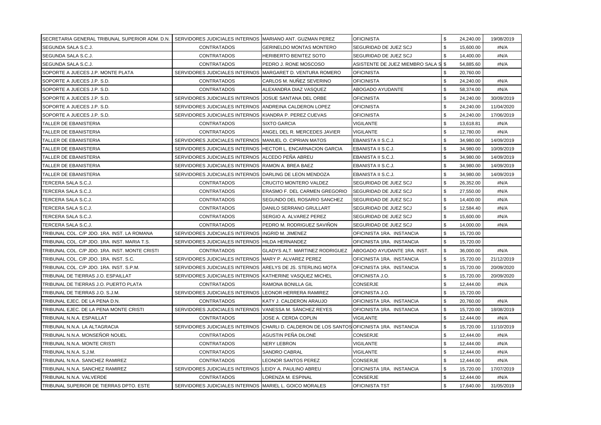| ISECRETARIA GENERAL TRIBUNAL SUPERIOR ADM. D.N.   SERVIDORES JUDICIALES INTERNOS  MARIANO ANT. GUZMAN PEREZ |                                                             |                                                                                           | <b>OFICINISTA</b>                   | \$<br>24,240.00 | 19/08/2019 |
|-------------------------------------------------------------------------------------------------------------|-------------------------------------------------------------|-------------------------------------------------------------------------------------------|-------------------------------------|-----------------|------------|
| ISEGUNDA SALA S.C.J.                                                                                        | <b>CONTRATADOS</b>                                          | <b>IGERINELDO MONTAS MONTERO</b>                                                          | SEGURIDAD DE JUEZ SCJ               | \$<br>15,600.00 | #N/A       |
| SEGUNDA SALA S.C.J.                                                                                         | <b>CONTRATADOS</b>                                          | <b>HERIBERTO BENITEZ SOTO</b>                                                             | SEGURIDAD DE JUEZ SCJ               | \$<br>14,400.00 | #N/A       |
| SEGUNDA SALA S.C.J.                                                                                         | <b>CONTRATADOS</b>                                          | PEDRO J. RONE MOSCOSO                                                                     | ASISTENTE DE JUEZ MIEMBRO SALA S \$ | 54,885.60       | #N/A       |
| SOPORTE A JUECES J.P. MONTE PLATA                                                                           | SERVIDORES JUDICIALES INTERNOS MARGARET D. VENTURA ROMERO   |                                                                                           | <b>OFICINISTA</b>                   | \$<br>20,760.00 |            |
| SOPORTE A JUECES J.P. S.D.                                                                                  | <b>CONTRATADOS</b>                                          | CARLOS M. NUÑEZ SEVERINO                                                                  | OFICINISTA                          | \$<br>24,240.00 | #N/A       |
| SOPORTE A JUECES J.P. S.D.                                                                                  | <b>CONTRATADOS</b>                                          | ALEXANDRA DIAZ VASQUEZ                                                                    | ABOGADO AYUDANTE                    | \$<br>58,374.00 | #N/A       |
| SOPORTE A JUECES J.P. S.D.                                                                                  | SERVIDORES JUDICIALES INTERNOS JJOSUE SANTANA DEL ORBE      |                                                                                           | OFICINISTA                          | \$<br>24,240.00 | 30/09/2019 |
| SOPORTE A JUECES J.P. S.D.                                                                                  | SERVIDORES JUDICIALES INTERNOS ANDREINA CALDERON LOPEZ      |                                                                                           | <b>OFICINISTA</b>                   | \$<br>24,240.00 | 11/04/2020 |
| SOPORTE A JUECES J.P. S.D.                                                                                  | SERVIDORES JUDICIALES INTERNOS KIANDRA P. PEREZ CUEVAS      |                                                                                           | <b>OFICINISTA</b>                   | \$<br>24,240.00 | 17/06/2019 |
| TALLER DE EBANISTERIA                                                                                       | <b>CONTRATADOS</b>                                          | <b>SIXTO GARCIA</b>                                                                       | <b>VIGILANTE</b>                    | \$<br>13,618.81 | #N/A       |
| TALLER DE EBANISTERIA                                                                                       | <b>CONTRATADOS</b>                                          | ANGEL DEL R. MERCEDES JAVIER                                                              | <b>VIGILANTE</b>                    | \$<br>12,780.00 | #N/A       |
| ITALLER DE EBANISTERIA                                                                                      | SERVIDORES JUDICIALES INTERNOS MANUEL O. CIPRIAN MATOS      |                                                                                           | EBANISTA II S.C.J.                  | \$<br>34,980.00 | 14/09/2019 |
| TALLER DE EBANISTERIA                                                                                       | SERVIDORES JUDICIALES INTERNOS HECTOR L. ENCARNACION GARCIA |                                                                                           | EBANISTA II S.C.J.                  | \$<br>34,980.00 | 10/09/2019 |
| TALLER DE EBANISTERIA                                                                                       | SERVIDORES JUDICIALES INTERNOS ALCEDO PEÑA ABREU            |                                                                                           | EBANISTA II S.C.J.                  | \$<br>34,980.00 | 14/09/2019 |
| TALLER DE EBANISTERIA                                                                                       | SERVIDORES JUDICIALES INTERNOS RAMON A. BREA BAEZ           |                                                                                           | EBANISTA II S.C.J.                  | \$<br>34,980.00 | 14/09/2019 |
| ITALLER DE EBANISTERIA                                                                                      | SERVIDORES JUDICIALES INTERNOS DARLING DE LEON MENDOZA      |                                                                                           | EBANISTA II S.C.J.                  | \$<br>34,980.00 | 14/09/2019 |
| TERCERA SALA S.C.J.                                                                                         | <b>CONTRATADOS</b>                                          | <b>CRUCITO MONTERO VALDEZ</b>                                                             | SEGURIDAD DE JUEZ SCJ               | \$<br>26.352.00 | #N/A       |
| TERCERA SALA S.C.J.                                                                                         | <b>CONTRATADOS</b>                                          | ERASMO F. DEL CARMEN GREGORIO                                                             | <b>ISEGURIDAD DE JUEZ SCJ</b>       | \$<br>27,550.00 | #N/A       |
| TERCERA SALA S.C.J.                                                                                         | <b>CONTRATADOS</b>                                          | SEGUNDO DEL ROSARIO SANCHEZ                                                               | SEGURIDAD DE JUEZ SCJ               | \$<br>14,400.00 | #N/A       |
| TERCERA SALA S.C.J.                                                                                         | <b>CONTRATADOS</b>                                          | DANILO SERRANO GRULLART                                                                   | SEGURIDAD DE JUEZ SCJ               | \$<br>12,584.40 | #N/A       |
| TERCERA SALA S.C.J.                                                                                         | <b>CONTRATADOS</b>                                          | SERGIO A. ALVAREZ PEREZ                                                                   | SEGURIDAD DE JUEZ SCJ               | \$<br>15,600.00 | #N/A       |
| TERCERA SALA S.C.J.                                                                                         | <b>CONTRATADOS</b>                                          | PEDRO M. RODRIGUEZ SAVIÑON                                                                | SEGURIDAD DE JUEZ SCJ               | \$<br>14,000.00 | #N/A       |
| TRIBUNAL COL. C/P JDO. 1RA. INST. LA ROMANA                                                                 | SERVIDORES JUDICIALES INTERNOS INGRID M. JIMENEZ            |                                                                                           | OFICINISTA 1RA. INSTANCIA           | \$<br>15,720.00 |            |
| TRIBUNAL COL. C/P JDO. 1RA. INST. MARIA T.S.                                                                | SERVIDORES JUDICIALES INTERNOS HILDA HERNANDEZ              |                                                                                           | OFICINISTA 1RA. INSTANCIA           | \$<br>15,720.00 |            |
| TRIBUNAL COL. C/P JDO. 1RA. INST. MONTE CRISTI                                                              | <b>CONTRATADOS</b>                                          | GLADYS ALT. MARTINEZ RODRIGUEZ                                                            | ABOGADO AYUDANTE 1RA. INST.         | \$<br>36,000.00 | #N/A       |
| TRIBUNAL COL. C/P JDO. 1RA. INST. S.C.                                                                      | SERVIDORES JUDICIALES INTERNOS MARY P. ALVAREZ PEREZ        |                                                                                           | OFICINISTA 1RA. INSTANCIA           | \$<br>15,720.00 | 21/12/2019 |
| TRIBUNAL COL. C/P JDO. 1RA. INST. S.P.M.                                                                    | SERVIDORES JUDICIALES INTERNOS LARELYS DE JS. STERLING MOTA |                                                                                           | OFICINISTA 1RA. INSTANCIA           | \$<br>15,720.00 | 20/09/2020 |
| TRIBUNAL DE TIERRAS J.O. ESPAILLAT                                                                          | SERVIDORES JUDICIALES INTERNOS IKATHERINE VASQUEZ MICHEL    |                                                                                           | OFICINISTA J.O.                     | \$<br>15,720.00 | 20/09/2020 |
| TRIBUNAL DE TIERRAS J.O. PUERTO PLATA                                                                       | <b>CONTRATADOS</b>                                          | RAMONA BONILLA GIL                                                                        | <b>CONSERJE</b>                     | \$<br>12,444.00 | #N/A       |
| TRIBUNAL DE TIERRAS J.O. S.J.M.                                                                             | SERVIDORES JUDICIALES INTERNOS LEONOR HERRERA RAMIREZ       |                                                                                           | OFICINISTA J.O.                     | \$<br>15,720.00 |            |
| TRIBUNAL EJEC. DE LA PENA D.N.                                                                              | <b>CONTRATADOS</b>                                          | KATY J. CALDERON ARAUJO                                                                   | OFICINISTA 1RA. INSTANCIA           | \$<br>20,760.00 | #N/A       |
| TRIBUNAL EJEC. DE LA PENA MONTE CRISTI                                                                      | SERVIDORES JUDICIALES INTERNOS VANESSA M. SÁNCHEZ REYES     |                                                                                           | OFICINISTA 1RA. INSTANCIA           | \$<br>15,720.00 | 18/08/2019 |
| TRIBUNAL N.N.A. ESPAILLAT                                                                                   | <b>CONTRATADOS</b>                                          | JOSE A. CERDA COPLIN                                                                      | <b>VIGILANTE</b>                    | \$<br>12,444.00 | #N/A       |
| TRIBUNAL N.N.A. LA ALTAGRACIA                                                                               |                                                             | SERVIDORES JUDICIALES INTERNOS CHARLI D. CALDERON DE LOS SANTOS OFICINISTA 1RA. INSTANCIA |                                     | \$<br>15,720.00 | 11/10/2019 |
| TRIBUNAL N.N.A. MONSEÑOR NOUEL                                                                              | <b>CONTRATADOS</b>                                          | AGUSTIN PEÑA DILONÉ                                                                       | CONSERJE                            | \$<br>12,444.00 | #N/A       |
| TRIBUNAL N.N.A. MONTE CRISTI                                                                                | <b>CONTRATADOS</b>                                          | NERY LEBRON                                                                               | <b>VIGILANTE</b>                    | \$<br>12,444.00 | #N/A       |
| TRIBUNAL N.N.A. S.J.M.                                                                                      | <b>CONTRATADOS</b>                                          | <b>SANDRO CABRAL</b>                                                                      | <b>VIGILANTE</b>                    | \$<br>12.444.00 | #N/A       |
| TRIBUNAL N.N.A. SANCHEZ RAMIREZ                                                                             | <b>CONTRATADOS</b>                                          | LEONOR SANTOS PEREZ                                                                       | CONSERJE                            | \$<br>12,444.00 | #N/A       |
| TRIBUNAL N.N.A. SANCHEZ RAMIREZ                                                                             | SERVIDORES JUDICIALES INTERNOS LEIDY A. PAULINO ABREU       |                                                                                           | OFICINISTA 1RA. INSTANCIA           | \$<br>15,720.00 | 17/07/2019 |
| TRIBUNAL N.N.A. VALVERDE                                                                                    | <b>CONTRATADOS</b>                                          | LORENZA M. ESPINAL                                                                        | CONSERJE                            | \$<br>12,444.00 | #N/A       |
| TRIBUNAL SUPERIOR DE TIERRAS DPTO. ESTE                                                                     | SERVIDORES JUDICIALES INTERNOS MARIEL L. GOICO MORALES      |                                                                                           | OFICINISTA TST                      | \$<br>17,640.00 | 31/05/2019 |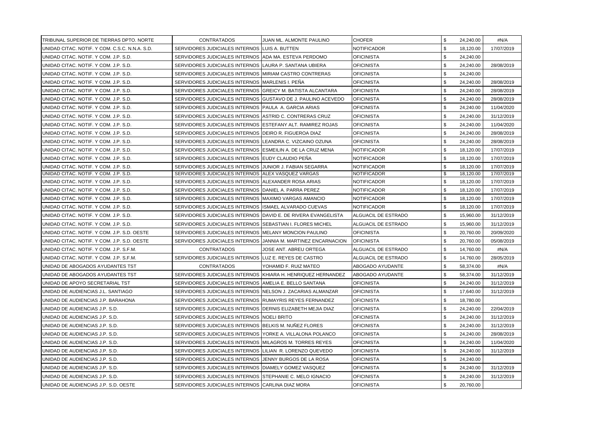| TRIBUNAL SUPERIOR DE TIERRAS DPTO. NORTE       | <b>CONTRATADOS</b>                                             | JUAN ML. ALMONTE PAULINO | CHOFER              | \$                         | 24,240.00 | #N/A       |
|------------------------------------------------|----------------------------------------------------------------|--------------------------|---------------------|----------------------------|-----------|------------|
| UNIDAD CITAC. NOTIF. Y COM. C.S.C. N.N.A. S.D. | SERVIDORES JUDICIALES INTERNOS LUIS A. BUTTEN                  |                          | <b>NOTIFICADOR</b>  | \$                         | 18,120.00 | 17/07/2019 |
| UNIDAD CITAC. NOTIF. Y COM. J.P. S.D.          | SERVIDORES JUDICIALES INTERNOS IADA MA. ESTEVA PERDOMO         |                          | <b>OFICINISTA</b>   | \$                         | 24.240.00 |            |
| UNIDAD CITAC. NOTIF. Y COM. J.P. S.D.          | SERVIDORES JUDICIALES INTERNOS LAURA P. SANTANA UBIERA         |                          | <b>OFICINISTA</b>   | \$                         | 24.240.00 | 28/08/2019 |
| UNIDAD CITAC. NOTIF. Y COM. J.P. S.D.          | SERVIDORES JUDICIALES INTERNOS MIRIAM CASTRO CONTRERAS         |                          | <b>OFICINISTA</b>   | \$                         | 24,240.00 |            |
| UNIDAD CITAC. NOTIF. Y COM. J.P. S.D.          | SERVIDORES JUDICIALES INTERNOS MARLENIS I. PENA                |                          | <b>OFICINISTA</b>   | \$                         | 24,240.00 | 28/08/2019 |
| UNIDAD CITAC. NOTIF. Y COM. J.P. S.D.          | SERVIDORES JUDICIALES INTERNOS GREICY M. BATISTA ALCANTARA     |                          | <b>OFICINISTA</b>   | \$                         | 24,240.00 | 28/08/2019 |
| UNIDAD CITAC. NOTIF. Y COM. J.P. S.D.          | SERVIDORES JUDICIALES INTERNOS (GUSTAVO DE J. PAULINO ACEVEDO  |                          | <b>OFICINISTA</b>   | \$                         | 24,240.00 | 28/08/2019 |
| UNIDAD CITAC. NOTIF. Y COM. J.P. S.D.          | SERVIDORES JUDICIALES INTERNOS PAULA A. GARCIA ARIAS           |                          | <b>OFICINISTA</b>   | \$                         | 24,240.00 | 11/04/2020 |
| UNIDAD CITAC. NOTIF. Y COM. J.P. S.D.          | SERVIDORES JUDICIALES INTERNOS ASTRID C. CONTRERAS CRUZ        |                          | <b>OFICINISTA</b>   | \$                         | 24,240.00 | 31/12/2019 |
| UNIDAD CITAC. NOTIF. Y COM. J.P. S.D.          | SERVIDORES JUDICIALES INTERNOS ESTEFANY ALT. RAMIREZ ROJAS     |                          | <b>OFICINISTA</b>   | \$                         | 24,240.00 | 11/04/2020 |
| UNIDAD CITAC. NOTIF. Y COM. J.P. S.D.          | SERVIDORES JUDICIALES INTERNOS DEIRO R. FIGUEROA DIAZ          |                          | <b>OFICINISTA</b>   | \$                         | 24,240.00 | 28/08/2019 |
| UNIDAD CITAC. NOTIF. Y COM. J.P. S.D.          | SERVIDORES JUDICIALES INTERNOS (LEANDRA C. VIZCAINO OZUNA      |                          | <b>OFICINISTA</b>   | \$                         | 24,240.00 | 28/08/2019 |
| UNIDAD CITAC, NOTIF, Y COM, J.P. S.D.          | SERVIDORES JUDICIALES INTERNOS ESMEILIN A. DE LA CRUZ MENA     |                          | <b>NOTIFICADOR</b>  | \$                         | 18,120.00 | 17/07/2019 |
| UNIDAD CITAC. NOTIF. Y COM. J.P. S.D.          | SERVIDORES JUDICIALES INTERNOS IEUDY CLAUDIO PEÑA              |                          | NOTIFICADOR         | \$                         | 18,120.00 | 17/07/2019 |
| UNIDAD CITAC. NOTIF. Y COM. J.P. S.D.          | SERVIDORES JUDICIALES INTERNOS JUNIOR J. FABIAN SEGARRA        |                          | <b>NOTIFICADOR</b>  | \$                         | 18,120.00 | 17/07/2019 |
| UNIDAD CITAC. NOTIF. Y COM. J.P. S.D.          | SERVIDORES JUDICIALES INTERNOS ALEX VASQUEZ VARGAS             |                          | NOTIFICADOR         | \$                         | 18,120.00 | 17/07/2019 |
| UNIDAD CITAC. NOTIF. Y COM. J.P. S.D.          | SERVIDORES JUDICIALES INTERNOS ALEXANDER ROSA ARIAS            |                          | <b>NOTIFICADOR</b>  | \$                         | 18,120.00 | 17/07/2019 |
| UNIDAD CITAC. NOTIF. Y COM. J.P. S.D.          | SERVIDORES JUDICIALES INTERNOS DANIEL A. PARRA PEREZ           |                          | NOTIFICADOR         | \$                         | 18,120.00 | 17/07/2019 |
| UNIDAD CITAC, NOTIF, Y COM, J.P. S.D.          | SERVIDORES JUDICIALES INTERNOS MAXIMO VARGAS AMANCIO           |                          | <b>NOTIFICADOR</b>  | \$                         | 18,120.00 | 17/07/2019 |
| UNIDAD CITAC. NOTIF. Y COM. J.P. S.D.          | SERVIDORES JUDICIALES INTERNOS IISMAEL ALVARADO CUEVAS         |                          | <b>NOTIFICADOR</b>  | \$                         | 18,120.00 | 17/07/2019 |
| UNIDAD CITAC. NOTIF. Y COM. J.P. S.D.          | SERVIDORES JUDICIALES INTERNOS DAVID E. DE RIVERA EVANGELISTA  |                          | ALGUACIL DE ESTRADO | \$                         | 15,960.00 | 31/12/2019 |
| UNIDAD CITAC. NOTIF. Y COM. J.P. S.D.          | SERVIDORES JUDICIALES INTERNOS SEBASTIAN I. FLORES MICHEL      |                          | ALGUACIL DE ESTRADO | \$                         | 15,960.00 | 31/12/2019 |
| UNIDAD CITAC. NOTIF. Y COM. J.P. S.D. OESTE    | SERVIDORES JUDICIALES INTERNOS MELANY MONCION PAULINO          |                          | <b>OFICINISTA</b>   | \$                         | 20,760.00 | 20/09/2020 |
| UNIDAD CITAC. NOTIF. Y COM. J.P. S.D. OESTE    | SERVIDORES JUDICIALES INTERNOS JJANNIA M. MARTINEZ ENCARNACION |                          | <b>OFICINISTA</b>   | \$                         | 20,760.00 | 05/08/2019 |
| UNIDAD CITAC. NOTIF. Y COM. J.P. S.F.M.        | <b>CONTRATADOS</b>                                             | JOSE ANT. ABREU ORTEGA   | ALGUACIL DE ESTRADO | \$                         | 14,760.00 | #N/A       |
| UNIDAD CITAC. NOTIF. Y COM. J.P. S.F.M.        | SERVIDORES JUDICIALES INTERNOS LUZ E. REYES DE CASTRO          |                          | ALGUACIL DE ESTRADO | \$                         | 14,760.00 | 28/05/2019 |
| UNIDAD DE ABOGADOS AYUDANTES TST               | <b>CONTRATADOS</b>                                             | YOHAMID F. RUIZ MATEO    | ABOGADO AYUDANTE    | \$                         | 58.374.00 | #N/A       |
| UNIDAD DE ABOGADOS AYUDANTES TST               | SERVIDORES JUDICIALES INTERNOS KHIARA H. HENRIQUEZ HERNANDEZ   |                          | ABOGADO AYUDANTE    | \$                         | 58,374.00 | 31/12/2019 |
| UNIDAD DE APOYO SECRETARIAL TST                | SERVIDORES JUDICIALES INTERNOS AMELIA E. BELLO SANTANA         |                          | <b>OFICINISTA</b>   | \$                         | 24,240.00 | 31/12/2019 |
| UNIDAD DE AUDIENCIAS J.L. SANTIAGO             | SERVIDORES JUDICIALES INTERNOS INELSON J. ZACARIAS ALMANZAR    |                          | OFICINISTA          | \$                         | 17,640.00 | 31/12/2019 |
| UNIDAD DE AUDIENCIAS J.P. BARAHONA             | SERVIDORES JUDICIALES INTERNOS RUMAYRIS REYES FERNANDEZ        |                          | <b>OFICINISTA</b>   | \$                         | 18,780.00 |            |
| UNIDAD DE AUDIENCIAS J.P. S.D.                 | SERVIDORES JUDICIALES INTERNOS DERNIS ELIZABETH MEJIA DIAZ     |                          | <b>OFICINISTA</b>   | $\boldsymbol{\mathsf{\$}}$ | 24,240.00 | 22/04/2019 |
| UNIDAD DE AUDIENCIAS J.P. S.D.                 | SERVIDORES JUDICIALES INTERNOS INOELI BRITO                    |                          | <b>OFICINISTA</b>   | \$                         | 24,240.00 | 31/12/2019 |
| UNIDAD DE AUDIENCIAS J.P. S.D.                 | SERVIDORES JUDICIALES INTERNOS BELKIS M. NUNEZ FLORES          |                          | <b>OFICINISTA</b>   | \$                         | 24,240.00 | 31/12/2019 |
| UNIDAD DE AUDIENCIAS J.P. S.D.                 | SERVIDORES JUDICIALES INTERNOS YORKE A. VILLALONA POLANCO      |                          | <b>OFICINISTA</b>   | \$                         | 24,240.00 | 28/08/2019 |
| UNIDAD DE AUDIENCIAS J.P. S.D.                 | SERVIDORES JUDICIALES INTERNOS MILAGROS M. TORRES REYES        |                          | <b>OFICINISTA</b>   | \$                         | 24,240.00 | 11/04/2020 |
| UNIDAD DE AUDIENCIAS J.P. S.D.                 | SERVIDORES JUDICIALES INTERNOS LILIAN R. LORENZO QUEVEDO       |                          | OFICINISTA          | \$                         | 24,240.00 | 31/12/2019 |
| UNIDAD DE AUDIENCIAS J.P. S.D.                 | SERVIDORES JUDICIALES INTERNOS JENNY BURGOS DE LA ROSA         |                          | <b>OFICINISTA</b>   | \$                         | 24,240.00 |            |
| UNIDAD DE AUDIENCIAS J.P. S.D.                 | SERVIDORES JUDICIALES INTERNOS DIAMELY GOMEZ VASQUEZ           |                          | <b>OFICINISTA</b>   | \$                         | 24,240.00 | 31/12/2019 |
| UNIDAD DE AUDIENCIAS J.P. S.D.                 | SERVIDORES JUDICIALES INTERNOS STEPHANIE C. MELO IGNACIO       |                          | <b>OFICINISTA</b>   | \$                         | 24,240.00 | 31/12/2019 |
| UNIDAD DE AUDIENCIAS J.P. S.D. OESTE           | SERVIDORES JUDICIALES INTERNOS CARLINA DIAZ MORA               |                          | <b>OFICINISTA</b>   | \$                         | 20,760.00 |            |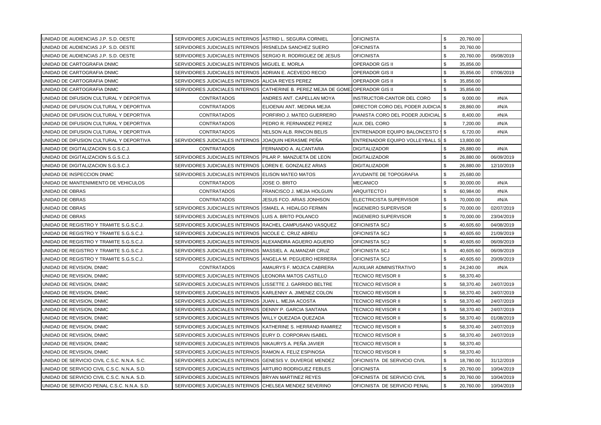| UNIDAD DE AUDIENCIAS J.P. S.D. OESTE        | SERVIDORES JUDICIALES INTERNOS (ASTRID L. SEGURA CORNIEL     |                                                                                 | <b>OFICINISTA</b>                         | \$                         | 20,760.00 |            |
|---------------------------------------------|--------------------------------------------------------------|---------------------------------------------------------------------------------|-------------------------------------------|----------------------------|-----------|------------|
| UNIDAD DE AUDIENCIAS J.P. S.D. OESTE        | SERVIDORES JUDICIALES INTERNOS IRISNELDA SANCHEZ SUERO       |                                                                                 | <b>OFICINISTA</b>                         | $\boldsymbol{\mathsf{\$}}$ | 20,760.00 |            |
| UNIDAD DE AUDIENCIAS J.P. S.D. OESTE        | SERVIDORES JUDICIALES INTERNOS ISERGIO R. RODRIGUEZ DE JESUS |                                                                                 | <b>OFICINISTA</b>                         | \$                         | 20,760.00 | 05/08/2019 |
| IUNIDAD DE CARTOGRAFIA DNMC                 | SERVIDORES JUDICIALES INTERNOS MIGUEL E. MORLA               |                                                                                 | <b>OPERADOR GIS II</b>                    | \$                         | 35,856.00 |            |
| UNIDAD DE CARTOGRAFIA DNMC                  | SERVIDORES JUDICIALES INTERNOS ADRIAN E. ACEVEDO RECIO       |                                                                                 | <b>OPERADOR GIS II</b>                    | \$                         | 35,856.00 | 07/06/2019 |
| UNIDAD DE CARTOGRAFIA DNMC                  | SERVIDORES JUDICIALES INTERNOS                               | IALICIA REYES PEREZ                                                             | <b>OPERADOR GIS II</b>                    | \$                         | 35,856.00 |            |
| UNIDAD DE CARTOGRAFIA DNMC                  |                                                              | SERVIDORES JUDICIALES INTERNOS CATHERINE B. PEREZ MEJIA DE GOME OPERADOR GIS II |                                           | \$                         | 35,856.00 |            |
| UNIDAD DE DIFUSION CULTURAL Y DEPORTIVA     | <b>CONTRATADOS</b>                                           | ANDRES ANT. CAPELLAN MOYA                                                       | INSTRUCTOR-CANTOR DEL CORO                | \$                         | 9,000.00  | #N/A       |
| UNIDAD DE DIFUSION CULTURAL Y DEPORTIVA     | <b>CONTRATADOS</b>                                           | ELIOENAI ANT. MEDINA MEJIA                                                      | DIRECTOR CORO DEL PODER JUDICIA \$        |                            | 28,860.00 | #N/A       |
| UNIDAD DE DIFUSION CULTURAL Y DEPORTIVA     | <b>CONTRATADOS</b>                                           | PORFIRIO J. MATEO GUERRERO                                                      | PIANISTA CORO DEL PODER JUDICIAL \$       |                            | 8,400.00  | #N/A       |
| UNIDAD DE DIFUSION CULTURAL Y DEPORTIVA     | <b>CONTRATADOS</b>                                           | PEDRO R. FERNANDEZ PEREZ                                                        | AUX. DEL CORO                             | \$                         | 7,200.00  | #N/A       |
| UNIDAD DE DIFUSION CULTURAL Y DEPORTIVA     | <b>CONTRATADOS</b>                                           | NELSON ALB. RINCON BELIS                                                        | <b>ENTRENADOR EQUIPO BALONCESTO \$ \$</b> |                            | 6,720.00  | #N/A       |
| UNIDAD DE DIFUSION CULTURAL Y DEPORTIVA     | SERVIDORES JUDICIALES INTERNOS                               | JOAQUIN HERASME PENA                                                            | <b>ENTRENADOR EQUIPO VOLLEYBALL S \$</b>  |                            | 13,800.00 |            |
| UNIDAD DE DIGITALIZACION S.G.S.C.J.         | <b>CONTRATADOS</b>                                           | FERNANDO A. ALCANTARA                                                           | <b>DIGITALIZADOR</b>                      | -\$                        | 26,880.00 | #N/A       |
| UNIDAD DE DIGITALIZACION S.G.S.C.J.         | SERVIDORES JUDICIALES INTERNOS                               | PILAR P. MANZUETA DE LEON                                                       | <b>DIGITALIZADOR</b>                      | \$                         | 26,880.00 | 06/09/2019 |
| UNIDAD DE DIGITALIZACION S.G.S.C.J.         | SERVIDORES JUDICIALES INTERNOS                               | LOREN E. GONZALEZ ARIAS                                                         | <b>DIGITALIZADOR</b>                      | \$                         | 26,880.00 | 12/10/2019 |
| UNIDAD DE INSPECCION DNMC                   | SERVIDORES JUDICIALES INTERNOS ELISON MATEO MATOS            |                                                                                 | AYUDANTE DE TOPOGRAFIA                    | \$                         | 25,680.00 |            |
| UNIDAD DE MANTENIMIENTO DE VEHICULOS        | <b>CONTRATADOS</b>                                           | JOSE O. BRITO                                                                   | <b>MECANICO</b>                           | \$                         | 30,000.00 | #N/A       |
| UNIDAD DE OBRAS                             | <b>CONTRATADOS</b>                                           | FRANCISCO J. MEJIA HOLGUIN                                                      | ARQUITECTO I                              | \$                         | 60,984.00 | #N/A       |
| UNIDAD DE OBRAS                             | <b>CONTRATADOS</b>                                           | JESUS FCO. ARIAS JONHSON                                                        | ELECTRICISTA SUPERVISOR                   | \$                         | 70,000.00 | #N/A       |
| UNIDAD DE OBRAS                             | SERVIDORES JUDICIALES INTERNOS ISMAEL A. HIDALGO FERMIN      |                                                                                 | <b>INGENIERO SUPERVISOR</b>               | \$                         | 70,000.00 | 02/07/2019 |
| UNIDAD DE OBRAS                             | SERVIDORES JUDICIALES INTERNOS LUIS A. BRITO POLANCO         |                                                                                 | <b>INGENIERO SUPERVISOR</b>               | \$                         | 70,000.00 | 23/04/2019 |
| UNIDAD DE REGISTRO Y TRAMITE S.G.S.C.J.     | SERVIDORES JUDICIALES INTERNOS RACHEL CAMPUSANO VASQUEZ      |                                                                                 | <b>OFICINISTA SCJ</b>                     | \$                         | 40,605.60 | 04/08/2019 |
| UNIDAD DE REGISTRO Y TRAMITE S.G.S.C.J.     | SERVIDORES JUDICIALES INTERNOS INICOLE C. CRUZ ABREU         |                                                                                 | <b>OFICINISTA SCJ</b>                     | \$                         | 40,605.60 | 21/09/2019 |
| UNIDAD DE REGISTRO Y TRAMITE S.G.S.C.J.     | SERVIDORES JUDICIALES INTERNOS                               | ALEXANDRA AGUERO AGUERO                                                         | <b>OFICINISTA SCJ</b>                     | \$                         | 40,605.60 | 06/09/2019 |
| UNIDAD DE REGISTRO Y TRAMITE S.G.S.C.J.     | SERVIDORES JUDICIALES INTERNOS MASSIEL A. ALMANZAR CRUZ      |                                                                                 | <b>OFICINISTA SCJ</b>                     | \$                         | 40,605.60 | 06/09/2019 |
| UNIDAD DE REGISTRO Y TRAMITE S.G.S.C.J.     | SERVIDORES JUDICIALES INTERNOS (ANGELA M. PEGUERO HERRERA    |                                                                                 | <b>OFICINISTA SCJ</b>                     | \$                         | 40,605.60 | 20/09/2019 |
| UNIDAD DE REVISION, DNMC                    | <b>CONTRATADOS</b>                                           | AMAURYS F. MOJICA CABRERA                                                       | <b>AUXILIAR ADMINISTRATIVO</b>            | \$                         | 24,240.00 | #N/A       |
| UNIDAD DE REVISION, DNMC                    | SERVIDORES JUDICIALES INTERNOS LEONORA MATOS CASTILLO        |                                                                                 | TECNICO REVISOR II                        | \$                         | 58,370.40 |            |
| UNIDAD DE REVISION, DNMC                    | SERVIDORES JUDICIALES INTERNOS LISSETTE J. GARRIDO BELTRE    |                                                                                 | TECNICO REVISOR II                        | \$                         | 58,370.40 | 24/07/2019 |
| UNIDAD DE REVISION, DNMC                    | SERVIDORES JUDICIALES INTERNOS KARLENNY A. JIMENEZ COLON     |                                                                                 | <b>TECNICO REVISOR II</b>                 | $\boldsymbol{\mathsf{S}}$  | 58.370.40 | 24/07/2019 |
| UNIDAD DE REVISION, DNMC                    | SERVIDORES JUDICIALES INTERNOS JJUAN L. MEJIA ACOSTA         |                                                                                 | TECNICO REVISOR II                        | \$                         | 58,370.40 | 24/07/2019 |
| UNIDAD DE REVISION, DNMC                    | SERVIDORES JUDICIALES INTERNOS DENNY P. GARCIA SANTANA       |                                                                                 | TECNICO REVISOR II                        | \$                         | 58,370.40 | 24/07/2019 |
| UNIDAD DE REVISION, DNMC                    | SERVIDORES JUDICIALES INTERNOS WILLY QUEZADA QUEZADA         |                                                                                 | TECNICO REVISOR II                        | \$                         | 58,370.40 | 01/08/2019 |
| UNIDAD DE REVISION, DNMC                    | SERVIDORES JUDICIALES INTERNOS KATHERINE S. HERRAND RAMIREZ  |                                                                                 | TECNICO REVISOR II                        | \$                         | 58,370.40 | 24/07/2019 |
| UNIDAD DE REVISION, DNMC                    | SERVIDORES JUDICIALES INTERNOS (EURY D. CORPORAN ISABEL      |                                                                                 | TECNICO REVISOR II                        | \$                         | 58,370.40 | 24/07/2019 |
| UNIDAD DE REVISION, DNMC                    | SERVIDORES JUDICIALES INTERNOS                               | NIKAURYS A. PEÑA JAVIER                                                         | TECNICO REVISOR II                        | \$                         | 58,370.40 |            |
| UNIDAD DE REVISION, DNMC                    | SERVIDORES JUDICIALES INTERNOS RAMON A. FELIZ ESPINOSA       |                                                                                 | TECNICO REVISOR II                        | \$                         | 58,370.40 |            |
| UNIDAD DE SERVICIO CIVIL C.S.C. N.N.A. S.C. | SERVIDORES JUDICIALES INTERNOS GENESIS V. DUVERGE MENDEZ     |                                                                                 | OFICINISTA DE SERVICIO CIVIL              | \$                         | 18,780.00 | 31/12/2019 |
| UNIDAD DE SERVICIO CIVIL C.S.C. N.N.A. S.D. | SERVIDORES JUDICIALES INTERNOS                               | <b>ARTURO RODRIGUEZ FEBLES</b>                                                  | <b>OFICINISTA</b>                         | \$                         | 20,760.00 | 10/04/2019 |
| UNIDAD DE SERVICIO CIVIL C.S.C. N.N.A. S.D. | SERVIDORES JUDICIALES INTERNOS BRYAN MARTINEZ REYES          |                                                                                 | OFICINISTA DE SERVICIO CIVIL              | \$                         | 20,760.00 | 10/04/2019 |
| UNIDAD DE SERVICIO PENAL C.S.C. N.N.A. S.D. | SERVIDORES JUDICIALES INTERNOS CHELSEA MENDEZ SEVERINO       |                                                                                 | OFICINISTA DE SERVICIO PENAL              | \$                         | 20,760.00 | 10/04/2019 |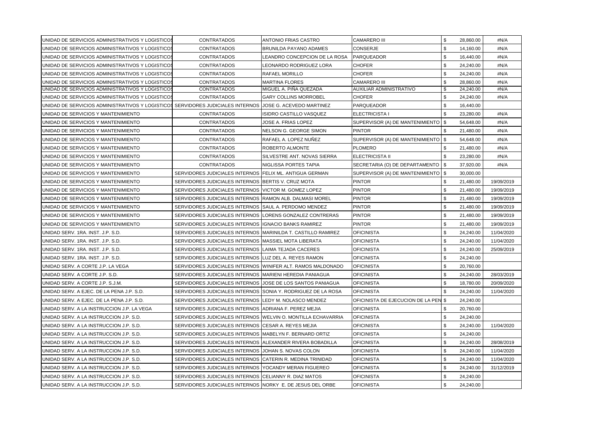| UNIDAD DE SERVICIOS ADMINISTRATIVOS Y LOGISTICOS                                                          | <b>CONTRATADOS</b>                                           | ANTONIO FRIAS CASTRO          | <b>CAMARERO III</b>                  | \$  | 28,860.00 | #N/A       |
|-----------------------------------------------------------------------------------------------------------|--------------------------------------------------------------|-------------------------------|--------------------------------------|-----|-----------|------------|
| UNIDAD DE SERVICIOS ADMINISTRATIVOS Y LOGISTICOS                                                          | <b>CONTRATADOS</b>                                           | BRUNILDA PAYANO ADAMES        | <b>CONSERJE</b>                      | \$  | 14,160.00 | #N/A       |
| UNIDAD DE SERVICIOS ADMINISTRATIVOS Y LOGISTICOS                                                          | <b>CONTRATADOS</b>                                           | LEANDRO CONCEPCION DE LA ROSA | <b>PARQUEADOR</b>                    | \$  | 16,440.00 | #N/A       |
| UNIDAD DE SERVICIOS ADMINISTRATIVOS Y LOGISTICOS                                                          | <b>CONTRATADOS</b>                                           | LEONARDO RODRIGUEZ LORA       | <b>CHOFER</b>                        | \$  | 24,240.00 | #N/A       |
| UNIDAD DE SERVICIOS ADMINISTRATIVOS Y LOGISTICOS                                                          | <b>CONTRATADOS</b>                                           | RAFAEL MORILLO                | <b>CHOFER</b>                        | \$  | 24.240.00 | #N/A       |
| UNIDAD DE SERVICIOS ADMINISTRATIVOS Y LOGISTICOS                                                          | <b>CONTRATADOS</b>                                           | <b>MARTINA FLORES</b>         | <b>CAMARERO III</b>                  | \$  | 28,860.00 | #N/A       |
| UNIDAD DE SERVICIOS ADMINISTRATIVOS Y LOGISTICOS                                                          | CONTRATADOS                                                  | MIGUEL A. PIÑA QUEZADA        | AUXILIAR ADMINISTRATIVO              | -\$ | 24,240.00 | #N/A       |
| UNIDAD DE SERVICIOS ADMINISTRATIVOS Y LOGISTICOS                                                          | <b>CONTRATADOS</b>                                           | <b>GARY COLLINS MORROBEL</b>  | <b>CHOFER</b>                        | \$  | 24,240.00 | #N/A       |
| UNIDAD DE SERVICIOS ADMINISTRATIVOS Y LOGISTICOS SERVIDORES JUDICIALES INTERNOS IJOSE G. ACEVEDO MARTINEZ |                                                              |                               | <b>PARQUEADOR</b>                    | \$  | 16,440.00 |            |
| UNIDAD DE SERVICIOS Y MANTENIMIENTO                                                                       | CONTRATADOS                                                  | SIDRO CASTILLO VASQUEZ        | ELECTRICISTA I                       | \$  | 23,280.00 | #N/A       |
| UNIDAD DE SERVICIOS Y MANTENIMIENTO                                                                       | <b>CONTRATADOS</b>                                           | JOSE A. FRIAS LOPEZ           | SUPERVISOR (A) DE MANTENIMIENTO \$   |     | 54,648.00 | #N/A       |
| UNIDAD DE SERVICIOS Y MANTENIMIENTO                                                                       | <b>CONTRATADOS</b>                                           | NELSON G. GEORGE SIMON        | <b>PINTOR</b>                        | \$. | 21,480.00 | #N/A       |
| UNIDAD DE SERVICIOS Y MANTENIMIENTO                                                                       | <b>CONTRATADOS</b>                                           | RAFAEL A. LOPEZ NUÑEZ         | SUPERVISOR (A) DE MANTENIMIENTO   \$ |     | 54,648.00 | #N/A       |
| UNIDAD DE SERVICIOS Y MANTENIMIENTO                                                                       | <b>CONTRATADOS</b>                                           | ROBERTO ALMONTE               | <b>PLOMERO</b>                       | \$  | 21,480.00 | #N/A       |
| UNIDAD DE SERVICIOS Y MANTENIMIENTO                                                                       | <b>CONTRATADOS</b>                                           | SILVESTRE ANT. NOVAS SIERRA   | <b>ELECTRICISTA II</b>               | \$  | 23,280.00 | #N/A       |
| UNIDAD DE SERVICIOS Y MANTENIMIENTO                                                                       | <b>CONTRATADOS</b>                                           | NIGLISSA PORTES TAPIA         | SECRETARIA (O) DE DEPARTAMENTO   \$  |     | 37,920.00 | #N/A       |
| UNIDAD DE SERVICIOS Y MANTENIMIENTO                                                                       | SERVIDORES JUDICIALES INTERNOS                               | FELIX ML. ANTIGUA GERMAN      | SUPERVISOR (A) DE MANTENIMIENTO \$   |     | 30,000.00 |            |
| UNIDAD DE SERVICIOS Y MANTENIMIENTO                                                                       | SERVIDORES JUDICIALES INTERNOS BERTIS V. CRUZ MOTA           |                               | <b>PINTOR</b>                        | \$  | 21.480.00 | 19/09/2019 |
| UNIDAD DE SERVICIOS Y MANTENIMIENTO                                                                       | SERVIDORES JUDICIALES INTERNOS IVICTOR M. GOMEZ LOPEZ        |                               | <b>PINTOR</b>                        | \$  | 21,480.00 | 19/09/2019 |
| UNIDAD DE SERVICIOS Y MANTENIMIENTO                                                                       | SERVIDORES JUDICIALES INTERNOS RAMON ALB. DALMASI MOREL      |                               | <b>PINTOR</b>                        | \$  | 21,480.00 | 19/09/2019 |
| UNIDAD DE SERVICIOS Y MANTENIMIENTO                                                                       | SERVIDORES JUDICIALES INTERNOS                               | SAUL A. PERDOMO MENDEZ        | <b>PINTOR</b>                        | \$  | 21,480.00 | 19/09/2019 |
| UNIDAD DE SERVICIOS Y MANTENIMIENTO                                                                       | SERVIDORES JUDICIALES INTERNOS                               | LORENS GONZALEZ CONTRERAS     | <b>PINTOR</b>                        | \$  | 21,480.00 | 19/09/2019 |
| UNIDAD DE SERVICIOS Y MANTENIMIENTO                                                                       | SERVIDORES JUDICIALES INTERNOS                               | IIGNACIO BANKS RAMIREZ        | <b>PINTOR</b>                        | \$  | 21,480.00 | 19/09/2019 |
| UNIDAD SERV. 1RA. INST. J.P. S.D.                                                                         | SERVIDORES JUDICIALES INTERNOS                               | MARINILDA T. CASTILLO RAMIREZ | <b>OFICINISTA</b>                    | \$  | 24,240.00 | 11/04/2020 |
| UNIDAD SERV. 1RA. INST. J.P. S.D.                                                                         | SERVIDORES JUDICIALES INTERNOS MASSIEL MOTA LIBERATA         |                               | <b>OFICINISTA</b>                    | \$  | 24,240.00 | 11/04/2020 |
| UNIDAD SERV. 1RA. INST. J.P. S.D.                                                                         | SERVIDORES JUDICIALES INTERNOS                               | LAIMA TEJADA CACERES          | <b>OFICINISTA</b>                    | \$  | 24,240.00 | 25/09/2019 |
| UNIDAD SERV. 1RA. INST. J.P. S.D.                                                                         | SERVIDORES JUDICIALES INTERNOS                               | LUZ DEL A. REYES RAMON        | <b>OFICINISTA</b>                    | \$  | 24,240.00 |            |
| UNIDAD SERV. A CORTE J.P. LA VEGA                                                                         | SERVIDORES JUDICIALES INTERNOS WINIFER ALT. RAMOS MALDONADO  |                               | <b>OFICINISTA</b>                    | \$  | 20,760.00 |            |
| UNIDAD SERV. A CORTE J.P. S.D.                                                                            | SERVIDORES JUDICIALES INTERNOS MARIENI HEREDIA PANIAGUA      |                               | <b>OFICINISTA</b>                    | \$  | 24,240.00 | 28/03/2019 |
| UNIDAD SERV. A CORTE J.P. S.J.M.                                                                          | SERVIDORES JUDICIALES INTERNOS JJOSE DE LOS SANTOS PANIAGUA  |                               | <b>OFICINISTA</b>                    | \$  | 18,780.00 | 20/09/2020 |
| UNIDAD SERV. A EJEC. DE LA PENA J.P. S.D.                                                                 | SERVIDORES JUDICIALES INTERNOS SONIA Y. RODRIGUEZ DE LA ROSA |                               | <b>OFICINISTA</b>                    | \$  | 24,240.00 | 11/04/2020 |
| UNIDAD SERV. A EJEC. DE LA PENA J.P. S.D.                                                                 | SERVIDORES JUDICIALES INTERNOS LEDY M. NOLASCO MENDEZ        |                               | OFICINISTA DE EJECUCION DE LA PEN \$ |     | 24,240.00 |            |
| UNIDAD SERV. A LA INSTRUCCION J.P. LA VEGA                                                                | SERVIDORES JUDICIALES INTERNOS ADRIANA F. PEREZ MEJIA        |                               | <b>OFICINISTA</b>                    | \$  | 20,760.00 |            |
| UNIDAD SERV. A LA INSTRUCCION J.P. S.D.                                                                   | SERVIDORES JUDICIALES INTERNOS WELVIN O. MONTILLA ECHAVARRIA |                               | <b>OFICINISTA</b>                    | \$  | 24,240.00 |            |
| UNIDAD SERV. A LA INSTRUCCION J.P. S.D.                                                                   | SERVIDORES JUDICIALES INTERNOS ICESAR A. REYES MEJIA         |                               | <b>OFICINISTA</b>                    | \$  | 24,240.00 | 11/04/2020 |
| UNIDAD SERV. A LA INSTRUCCION J.P. S.D.                                                                   | SERVIDORES JUDICIALES INTERNOS MABELYN F. BERNARD ORTIZ      |                               | <b>OFICINISTA</b>                    | \$  | 24,240.00 |            |
| UNIDAD SERV. A LA INSTRUCCION J.P. S.D.                                                                   | SERVIDORES JUDICIALES INTERNOS ALEXANDER RIVERA BOBADILLA    |                               | <b>OFICINISTA</b>                    | \$  | 24,240.00 | 28/08/2019 |
| UNIDAD SERV. A LA INSTRUCCION J.P. S.D.                                                                   | SERVIDORES JUDICIALES INTERNOS JJOHAN S. NOVAS COLON         |                               | <b>OFICINISTA</b>                    | \$  | 24,240.00 | 11/04/2020 |
| UNIDAD SERV. A LA INSTRUCCION J.P. S.D.                                                                   | SERVIDORES JUDICIALES INTERNOS CATERIN R. MEDINA TRINIDAD    |                               | <b>OFICINISTA</b>                    | \$  | 24,240.00 | 11/04/2020 |
| UNIDAD SERV. A LA INSTRUCCION J.P. S.D.                                                                   | SERVIDORES JUDICIALES INTERNOS YOCANDY MERAN FIGUEREO        |                               | <b>OFICINISTA</b>                    | \$  | 24,240.00 | 31/12/2019 |
| UNIDAD SERV. A LA INSTRUCCION J.P. S.D.                                                                   | SERVIDORES JUDICIALES INTERNOS CELIANNY R. DIAZ MATOS        |                               | <b>OFICINISTA</b>                    | \$  | 24,240.00 |            |
| UNIDAD SERV. A LA INSTRUCCION J.P. S.D.                                                                   | SERVIDORES JUDICIALES INTERNOS NORKY E. DE JESUS DEL ORBE    |                               | <b>OFICINISTA</b>                    | \$  | 24,240.00 |            |